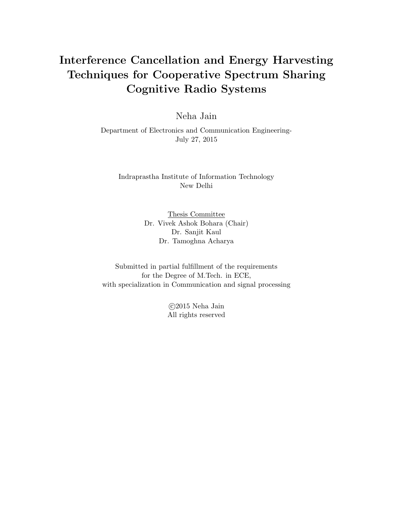# Interference Cancellation and Energy Harvesting Techniques for Cooperative Spectrum Sharing Cognitive Radio Systems

Neha Jain

Department of Electronics and Communication Engineering-July 27, 2015

Indraprastha Institute of Information Technology New Delhi

> Thesis Committee Dr. Vivek Ashok Bohara (Chair) Dr. Sanjit Kaul Dr. Tamoghna Acharya

Submitted in partial fulfillment of the requirements for the Degree of M.Tech. in ECE, with specialization in Communication and signal processing

> c 2015 Neha Jain All rights reserved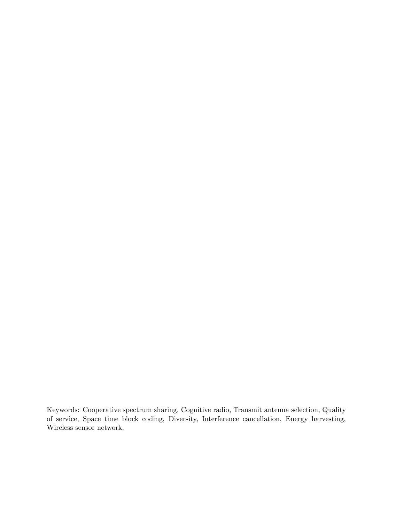Keywords: Cooperative spectrum sharing, Cognitive radio, Transmit antenna selection, Quality of service, Space time block coding, Diversity, Interference cancellation, Energy harvesting, Wireless sensor network.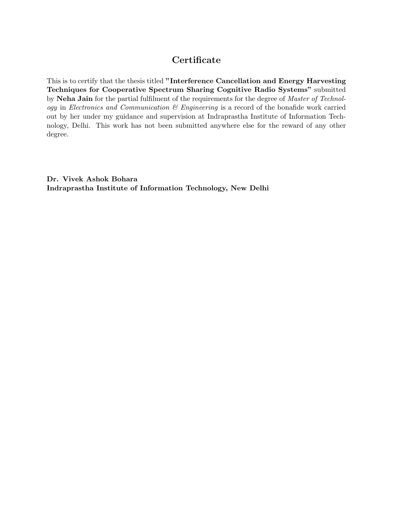# **Certificate**

This is to certify that the thesis titled "Interference Cancellation and Energy Harvesting Techniques for Cooperative Spectrum Sharing Cognitive Radio Systems" submitted by Neha Jain for the partial fulfilment of the requirements for the degree of *Master of Technol*ogy in Electronics and Communication  $\mathcal B$  Engineering is a record of the bonafide work carried out by her under my guidance and supervision at Indraprastha Institute of Information Technology, Delhi. This work has not been submitted anywhere else for the reward of any other degree.

Dr. Vivek Ashok Bohara Indraprastha Institute of Information Technology, New Delhi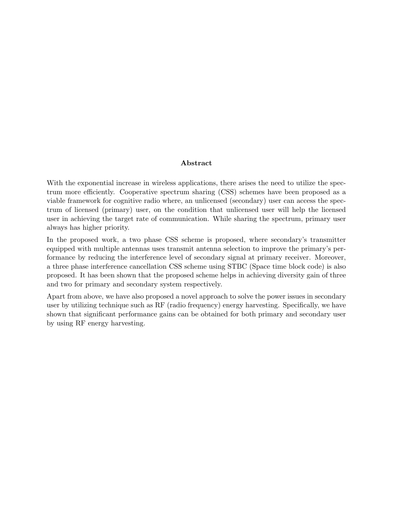#### Abstract

With the exponential increase in wireless applications, there arises the need to utilize the spectrum more efficiently. Cooperative spectrum sharing (CSS) schemes have been proposed as a viable framework for cognitive radio where, an unlicensed (secondary) user can access the spectrum of licensed (primary) user, on the condition that unlicensed user will help the licensed user in achieving the target rate of communication. While sharing the spectrum, primary user always has higher priority.

In the proposed work, a two phase CSS scheme is proposed, where secondary's transmitter equipped with multiple antennas uses transmit antenna selection to improve the primary's performance by reducing the interference level of secondary signal at primary receiver. Moreover, a three phase interference cancellation CSS scheme using STBC (Space time block code) is also proposed. It has been shown that the proposed scheme helps in achieving diversity gain of three and two for primary and secondary system respectively.

Apart from above, we have also proposed a novel approach to solve the power issues in secondary user by utilizing technique such as RF (radio frequency) energy harvesting. Specifically, we have shown that significant performance gains can be obtained for both primary and secondary user by using RF energy harvesting.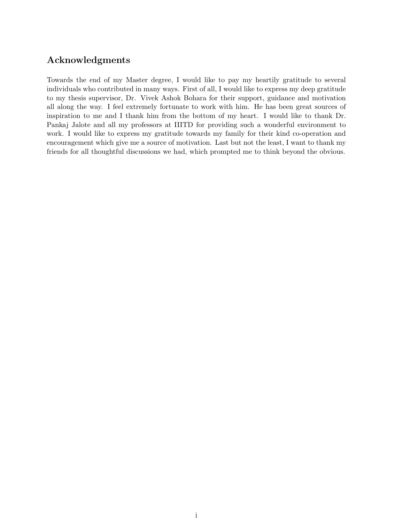# Acknowledgments

Towards the end of my Master degree, I would like to pay my heartily gratitude to several individuals who contributed in many ways. First of all, I would like to express my deep gratitude to my thesis supervisor, Dr. Vivek Ashok Bohara for their support, guidance and motivation all along the way. I feel extremely fortunate to work with him. He has been great sources of inspiration to me and I thank him from the bottom of my heart. I would like to thank Dr. Pankaj Jalote and all my professors at IIITD for providing such a wonderful environment to work. I would like to express my gratitude towards my family for their kind co-operation and encouragement which give me a source of motivation. Last but not the least, I want to thank my friends for all thoughtful discussions we had, which prompted me to think beyond the obvious.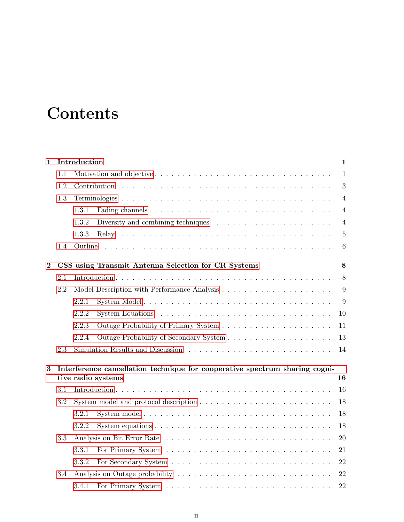# **Contents**

| $\mathbf 1$ |                                       | Introduction                                                                            |                                                                                          |                  |  |  |  |  |
|-------------|---------------------------------------|-----------------------------------------------------------------------------------------|------------------------------------------------------------------------------------------|------------------|--|--|--|--|
|             | 1.1                                   |                                                                                         |                                                                                          |                  |  |  |  |  |
|             | 1.2                                   |                                                                                         |                                                                                          |                  |  |  |  |  |
|             | 1.3                                   |                                                                                         |                                                                                          | $\overline{4}$   |  |  |  |  |
|             |                                       | 1.3.1                                                                                   |                                                                                          | $\overline{4}$   |  |  |  |  |
|             |                                       | 1.3.2<br>Diversity and combining techniques $\dots \dots \dots \dots \dots \dots \dots$ |                                                                                          |                  |  |  |  |  |
|             |                                       | 1.3.3                                                                                   |                                                                                          |                  |  |  |  |  |
|             | 1.4                                   |                                                                                         |                                                                                          | 6                |  |  |  |  |
| $\bf{2}$    |                                       |                                                                                         | CSS using Transmit Antenna Selection for CR Systems                                      | 8                |  |  |  |  |
|             | 2.1                                   |                                                                                         |                                                                                          | 8                |  |  |  |  |
|             | 2.2                                   |                                                                                         |                                                                                          | $\boldsymbol{9}$ |  |  |  |  |
|             |                                       | 2.2.1                                                                                   |                                                                                          | 9                |  |  |  |  |
|             |                                       | 2.2.2                                                                                   |                                                                                          | 10               |  |  |  |  |
|             |                                       | 2.2.3                                                                                   |                                                                                          | 11               |  |  |  |  |
|             |                                       | 2.2.4                                                                                   |                                                                                          | 13               |  |  |  |  |
|             | 2.3                                   |                                                                                         |                                                                                          | 14               |  |  |  |  |
| 3           |                                       | Interference cancellation technique for cooperative spectrum sharing cogni-<br>16       |                                                                                          |                  |  |  |  |  |
|             | tive radio systems                    |                                                                                         |                                                                                          |                  |  |  |  |  |
|             | 3.1                                   |                                                                                         |                                                                                          |                  |  |  |  |  |
|             | 3.2                                   |                                                                                         |                                                                                          | 18               |  |  |  |  |
|             |                                       | 3.2.1                                                                                   |                                                                                          | 18               |  |  |  |  |
|             |                                       | 3.2.2                                                                                   | System equations $\ldots \ldots \ldots \ldots \ldots \ldots \ldots \ldots \ldots \ldots$ | 18               |  |  |  |  |
|             | 3.3                                   |                                                                                         |                                                                                          | 20               |  |  |  |  |
|             |                                       | 3.3.1                                                                                   |                                                                                          | 21               |  |  |  |  |
| 3.3.2       |                                       |                                                                                         |                                                                                          | 22<br>22         |  |  |  |  |
|             | Analysis on Outage probability<br>3.4 |                                                                                         |                                                                                          |                  |  |  |  |  |
|             |                                       | 3.4.1                                                                                   |                                                                                          | 22               |  |  |  |  |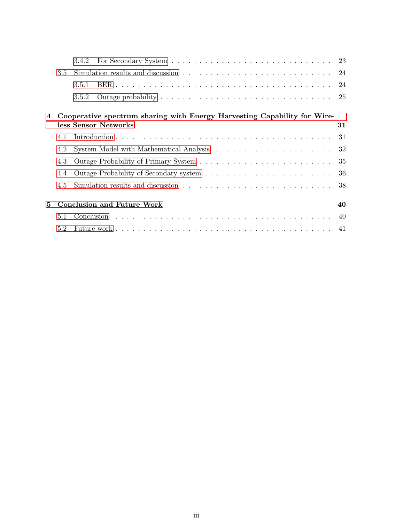|    |     | 3.4.2                                                                                            |  |  |  |  |  | 23  |
|----|-----|--------------------------------------------------------------------------------------------------|--|--|--|--|--|-----|
|    | 3.5 |                                                                                                  |  |  |  |  |  | 24  |
|    |     | 3.5.1                                                                                            |  |  |  |  |  | 24  |
|    |     | 3.5.2                                                                                            |  |  |  |  |  | -25 |
| 4  |     | Cooperative spectrum sharing with Energy Harvesting Capability for Wire-<br>less Sensor Networks |  |  |  |  |  | 31  |
|    | 4.1 |                                                                                                  |  |  |  |  |  | 31  |
|    | 4.2 |                                                                                                  |  |  |  |  |  | 32  |
|    | 4.3 |                                                                                                  |  |  |  |  |  | 35  |
|    | 4.4 |                                                                                                  |  |  |  |  |  | 36  |
|    | 4.5 |                                                                                                  |  |  |  |  |  | 38  |
| 5. |     | <b>Conclusion and Future Work</b>                                                                |  |  |  |  |  | 40  |
|    | 5.1 |                                                                                                  |  |  |  |  |  | 40  |
|    | 5.2 |                                                                                                  |  |  |  |  |  |     |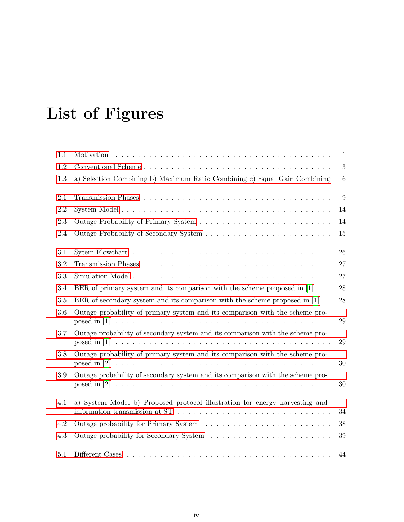# List of Figures

| 1.1     |                                                                                                                                                                             | 1      |
|---------|-----------------------------------------------------------------------------------------------------------------------------------------------------------------------------|--------|
| 1.2     |                                                                                                                                                                             | 3      |
| 1.3     | a) Selection Combining b) Maximum Ratio Combining c) Equal Gain Combining                                                                                                   | 6      |
| 2.1     |                                                                                                                                                                             | 9      |
| 2.2     |                                                                                                                                                                             | 14     |
| 2.3     |                                                                                                                                                                             | 14     |
| 2.4     |                                                                                                                                                                             | 15     |
| 3.1     |                                                                                                                                                                             | 26     |
| 3.2     |                                                                                                                                                                             | 27     |
| 3.3     |                                                                                                                                                                             | 27     |
| 3.4     | BER of primary system and its comparison with the scheme proposed in $[1]$                                                                                                  | $28\,$ |
| 3.5     | BER of secondary system and its comparison with the scheme proposed in $[1]$ .                                                                                              | 28     |
| 3.6     | Outage probability of primary system and its comparison with the scheme pro-                                                                                                | $\,29$ |
| 3.7     | Outage probability of secondary system and its comparison with the scheme pro-                                                                                              | 29     |
| 3.8     | Outage probability of primary system and its comparison with the scheme pro-                                                                                                | $30\,$ |
| $3.9\,$ | Outage probability of secondary system and its comparison with the scheme pro-                                                                                              | 30     |
| 4.1     | a) System Model b) Proposed protocol illustration for energy harvesting and<br>information transmission at $ST \dots \dots \dots \dots \dots \dots \dots \dots \dots \dots$ | $34\,$ |
| 4.2     |                                                                                                                                                                             | $38\,$ |
| 4.3     |                                                                                                                                                                             | 39     |
| 5.1     |                                                                                                                                                                             | 44     |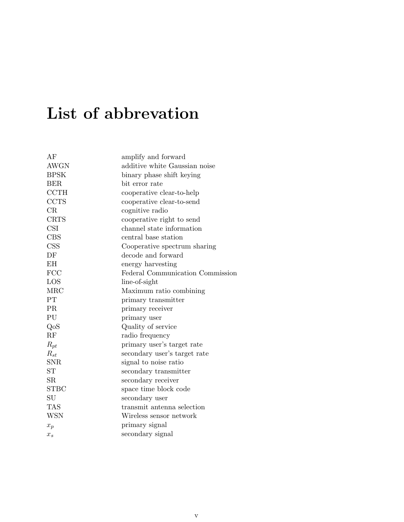# List of abbrevation

| AF          | amplify and forward              |
|-------------|----------------------------------|
| <b>AWGN</b> | additive white Gaussian noise    |
| <b>BPSK</b> | binary phase shift keying        |
| <b>BER</b>  | bit error rate                   |
| <b>CCTH</b> | cooperative clear-to-help        |
| <b>CCTS</b> | cooperative clear-to-send        |
| CR          | cognitive radio                  |
| <b>CRTS</b> | cooperative right to send        |
| <b>CSI</b>  | channel state information        |
| <b>CBS</b>  | central base station             |
| <b>CSS</b>  | Cooperative spectrum sharing     |
| DF          | decode and forward               |
| <b>EH</b>   | energy harvesting                |
| <b>FCC</b>  | Federal Communication Commission |
| LOS         | line-of-sight                    |
| <b>MRC</b>  | Maximum ratio combining          |
| PT          | primary transmitter              |
| PR          | primary receiver                 |
| PU          | primary user                     |
| QoS         | Quality of service               |
| RF          | radio frequency                  |
| $R_{pt}$    | primary user's target rate       |
| $R_{st}$    | secondary user's target rate     |
| <b>SNR</b>  | signal to noise ratio            |
| <b>ST</b>   | secondary transmitter            |
| <b>SR</b>   | secondary receiver               |
| <b>STBC</b> | space time block code            |
| SU          | secondary user                   |
| <b>TAS</b>  | transmit antenna selection       |
| <b>WSN</b>  | Wireless sensor network          |
| $x_p$       | primary signal                   |
| $x_{s}$     | secondary signal                 |
|             |                                  |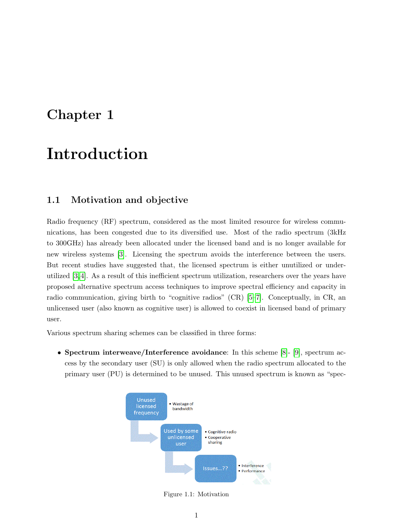# <span id="page-9-0"></span>Chapter 1

# Introduction

# <span id="page-9-1"></span>1.1 Motivation and objective

Radio frequency (RF) spectrum, considered as the most limited resource for wireless communications, has been congested due to its diversified use. Most of the radio spectrum (3kHz to 300GHz) has already been allocated under the licensed band and is no longer available for new wireless systems [\[3\]](#page-53-2). Licensing the spectrum avoids the interference between the users. But recent studies have suggested that, the licensed spectrum is either unutilized or underutilized [\[3,](#page-53-2) [4\]](#page-53-3). As a result of this inefficient spectrum utilization, researchers over the years have proposed alternative spectrum access techniques to improve spectral efficiency and capacity in radio communication, giving birth to "cognitive radios" (CR) [\[5–](#page-53-4)[7\]](#page-53-5). Conceptually, in CR, an unlicensed user (also known as cognitive user) is allowed to coexist in licensed band of primary user.

Various spectrum sharing schemes can be classified in three forms:

<span id="page-9-2"></span>• Spectrum interweave/Interference avoidance: In this scheme [\[8\]](#page-53-6)- [\[9\]](#page-53-7), spectrum access by the secondary user (SU) is only allowed when the radio spectrum allocated to the primary user (PU) is determined to be unused. This unused spectrum is known as "spec-



Figure 1.1: Motivation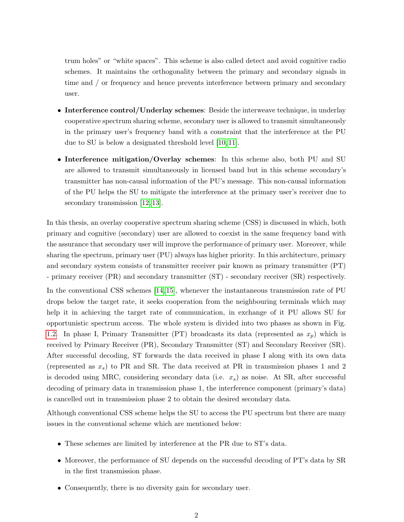trum holes" or "white spaces". This scheme is also called detect and avoid cognitive radio schemes. It maintains the orthogonality between the primary and secondary signals in time and / or frequency and hence prevents interference between primary and secondary user.

- Interference control/Underlay schemes: Beside the interweave technique, in underlay cooperative spectrum sharing scheme, secondary user is allowed to transmit simultaneously in the primary user's frequency band with a constraint that the interference at the PU due to SU is below a designated threshold level [\[10,](#page-54-0) [11\]](#page-54-1).
- Interference mitigation/Overlay schemes: In this scheme also, both PU and SU are allowed to transmit simultaneously in licensed band but in this scheme secondary's transmitter has non-causal information of the PU's message. This non-causal information of the PU helps the SU to mitigate the interference at the primary user's receiver due to secondary transmission [\[12,](#page-54-2) [13\]](#page-54-3).

In this thesis, an overlay cooperative spectrum sharing scheme (CSS) is discussed in which, both primary and cognitive (secondary) user are allowed to coexist in the same frequency band with the assurance that secondary user will improve the performance of primary user. Moreover, while sharing the spectrum, primary user (PU) always has higher priority. In this architecture, primary and secondary system consists of transmitter receiver pair known as primary transmitter (PT) - primary receiver (PR) and secondary transmitter (ST) - secondary receiver (SR) respectively.

In the conventional CSS schemes [\[14,](#page-54-4) [15\]](#page-54-5), whenever the instantaneous transmission rate of PU drops below the target rate, it seeks cooperation from the neighbouring terminals which may help it in achieving the target rate of communication, in exchange of it PU allows SU for opportunistic spectrum access. The whole system is divided into two phases as shown in Fig. [1.2.](#page-11-1) In phase I, Primary Transmitter (PT) broadcasts its data (represented as  $x_p$ ) which is received by Primary Receiver (PR), Secondary Transmitter (ST) and Secondary Receiver (SR). After successful decoding, ST forwards the data received in phase I along with its own data (represented as  $x<sub>s</sub>$ ) to PR and SR. The data received at PR in transmission phases 1 and 2 is decoded using MRC, considering secondary data (i.e.  $x_s$ ) as noise. At SR, after successful decoding of primary data in transmission phase 1, the interference component (primary's data) is cancelled out in transmission phase 2 to obtain the desired secondary data.

Although conventional CSS scheme helps the SU to access the PU spectrum but there are many issues in the conventional scheme which are mentioned below:

- These schemes are limited by interference at the PR due to ST's data.
- Moreover, the performance of SU depends on the successful decoding of PT's data by SR in the first transmission phase.
- Consequently, there is no diversity gain for secondary user.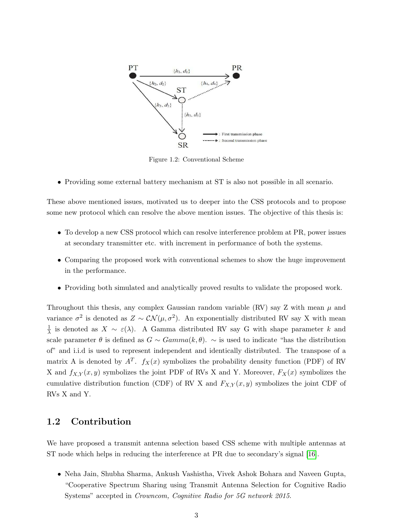<span id="page-11-1"></span>

Figure 1.2: Conventional Scheme

• Providing some external battery mechanism at ST is also not possible in all scenario.

These above mentioned issues, motivated us to deeper into the CSS protocols and to propose some new protocol which can resolve the above mention issues. The objective of this thesis is:

- To develop a new CSS protocol which can resolve interference problem at PR, power issues at secondary transmitter etc. with increment in performance of both the systems.
- Comparing the proposed work with conventional schemes to show the huge improvement in the performance.
- Providing both simulated and analytically proved results to validate the proposed work.

Throughout this thesis, any complex Gaussian random variable (RV) say Z with mean  $\mu$  and variance  $\sigma^2$  is denoted as  $Z \sim \mathcal{CN}(\mu, \sigma^2)$ . An exponentially distributed RV say X with mean 1  $\frac{1}{\lambda}$  is denoted as  $X \sim \varepsilon(\lambda)$ . A Gamma distributed RV say G with shape parameter k and scale parameter  $\theta$  is defined as  $G \sim Gamma(k, \theta)$ .  $\sim$  is used to indicate "has the distribution" of" and i.i.d is used to represent independent and identically distributed. The transpose of a matrix A is denoted by  $A<sup>T</sup>$ .  $f<sub>X</sub>(x)$  symbolizes the probability density function (PDF) of RV X and  $f_{X,Y}(x, y)$  symbolizes the joint PDF of RVs X and Y. Moreover,  $F_X(x)$  symbolizes the cumulative distribution function (CDF) of RV X and  $F_{X,Y}(x, y)$  symbolizes the joint CDF of RVs X and Y.

## <span id="page-11-0"></span>1.2 Contribution

We have proposed a transmit antenna selection based CSS scheme with multiple antennas at ST node which helps in reducing the interference at PR due to secondary's signal [\[16\]](#page-54-6).

• Neha Jain, Shubha Sharma, Ankush Vashistha, Vivek Ashok Bohara and Naveen Gupta, "Cooperative Spectrum Sharing using Transmit Antenna Selection for Cognitive Radio Systems" accepted in Crowncom, Cognitive Radio for 5G network 2015.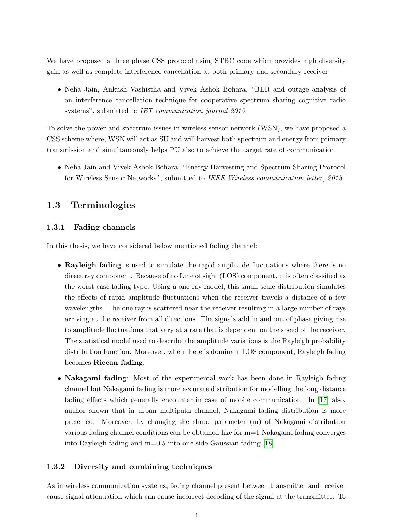We have proposed a three phase CSS protocol using STBC code which provides high diversity gain as well as complete interference cancellation at both primary and secondary receiver

• Neha Jain, Ankush Vashistha and Vivek Ashok Bohara, "BER and outage analysis of an interference cancellation technique for cooperative spectrum sharing cognitive radio systems", submitted to *IET communication journal 2015*.

To solve the power and spectrum issues in wireless sensor network (WSN), we have proposed a CSS scheme where, WSN will act as SU and will harvest both spectrum and energy from primary transmission and simultaneously helps PU also to achieve the target rate of communication

• Neha Jain and Vivek Ashok Bohara, "Energy Harvesting and Spectrum Sharing Protocol for Wireless Sensor Networks", submitted to IEEE Wireless communication letter, 2015.

## <span id="page-12-0"></span>1.3 Terminologies

#### <span id="page-12-1"></span>1.3.1 Fading channels

In this thesis, we have considered below mentioned fading channel:

- Rayleigh fading is used to simulate the rapid amplitude fluctuations where there is no direct ray component. Because of no Line of sight (LOS) component, it is often classified as the worst case fading type. Using a one ray model, this small scale distribution simulates the effects of rapid amplitude fluctuations when the receiver travels a distance of a few wavelengths. The one ray is scattered near the receiver resulting in a large number of rays arriving at the receiver from all directions. The signals add in and out of phase giving rise to amplitude fluctuations that vary at a rate that is dependent on the speed of the receiver. The statistical model used to describe the amplitude variations is the Rayleigh probability distribution function. Moreover, when there is dominant LOS component, Rayleigh fading becomes Ricean fading.
- Nakagami fading: Most of the experimental work has been done in Rayleigh fading channel but Nakagami fading is more accurate distribution for modelling the long distance fading effects which generally encounter in case of mobile communication. In [\[17\]](#page-54-7) also, author shown that in urban multipath channel, Nakagami fading distribution is more preferred. Moreover, by changing the shape parameter (m) of Nakagami distribution various fading channel conditions can be obtained like for m=1 Nakagami fading converges into Rayleigh fading and m=0.5 into one side Gaussian fading [\[18\]](#page-54-8).

#### <span id="page-12-2"></span>1.3.2 Diversity and combining techniques

As in wireless communication systems, fading channel present between transmitter and receiver cause signal attenuation which can cause incorrect decoding of the signal at the transmitter. To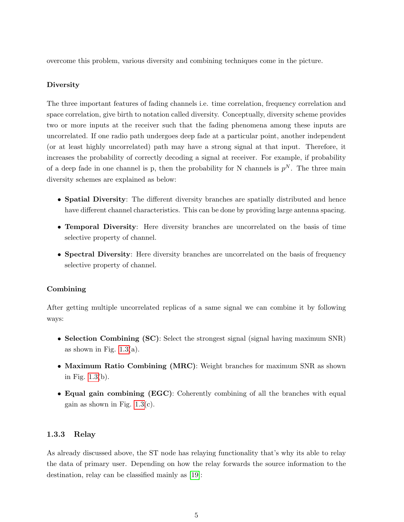overcome this problem, various diversity and combining techniques come in the picture.

#### Diversity

The three important features of fading channels i.e. time correlation, frequency correlation and space correlation, give birth to notation called diversity. Conceptually, diversity scheme provides two or more inputs at the receiver such that the fading phenomena among these inputs are uncorrelated. If one radio path undergoes deep fade at a particular point, another independent (or at least highly uncorrelated) path may have a strong signal at that input. Therefore, it increases the probability of correctly decoding a signal at receiver. For example, if probability of a deep fade in one channel is p, then the probability for N channels is  $p<sup>N</sup>$ . The three main diversity schemes are explained as below:

- Spatial Diversity: The different diversity branches are spatially distributed and hence have different channel characteristics. This can be done by providing large antenna spacing.
- Temporal Diversity: Here diversity branches are uncorrelated on the basis of time selective property of channel.
- Spectral Diversity: Here diversity branches are uncorrelated on the basis of frequency selective property of channel.

#### Combining

After getting multiple uncorrelated replicas of a same signal we can combine it by following ways:

- Selection Combining (SC): Select the strongest signal (signal having maximum SNR) as shown in Fig.  $1.3(a)$ .
- Maximum Ratio Combining (MRC): Weight branches for maximum SNR as shown in Fig. [1.3\(](#page-14-1)b).
- Equal gain combining (EGC): Coherently combining of all the branches with equal gain as shown in Fig.  $1.3(c)$ .

#### <span id="page-13-0"></span>1.3.3 Relay

As already discussed above, the ST node has relaying functionality that's why its able to relay the data of primary user. Depending on how the relay forwards the source information to the destination, relay can be classified mainly as [\[19\]](#page-54-9):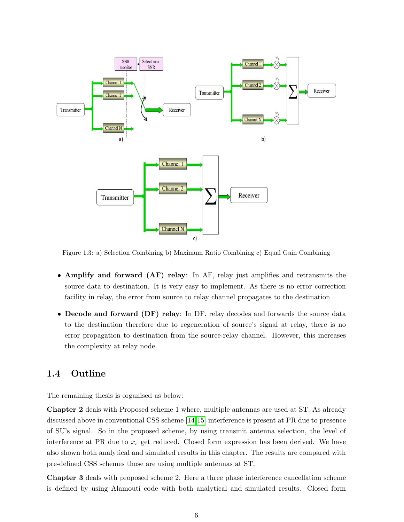<span id="page-14-1"></span>

Figure 1.3: a) Selection Combining b) Maximum Ratio Combining c) Equal Gain Combining

- Amplify and forward (AF) relay: In AF, relay just amplifies and retransmits the source data to destination. It is very easy to implement. As there is no error correction facility in relay, the error from source to relay channel propagates to the destination
- Decode and forward (DF) relay: In DF, relay decodes and forwards the source data to the destination therefore due to regeneration of source's signal at relay, there is no error propagation to destination from the source-relay channel. However, this increases the complexity at relay node.

## <span id="page-14-0"></span>1.4 Outline

The remaining thesis is organised as below:

Chapter 2 deals with Proposed scheme 1 where, multiple antennas are used at ST. As already discussed above in conventional CSS scheme [\[14,](#page-54-4)[15\]](#page-54-5) interference is present at PR due to presence of SU's signal. So in the proposed scheme, by using transmit antenna selection, the level of interference at PR due to  $x_s$  get reduced. Closed form expression has been derived. We have also shown both analytical and simulated results in this chapter. The results are compared with pre-defined CSS schemes those are using multiple antennas at ST.

Chapter 3 deals with proposed scheme 2. Here a three phase interference cancellation scheme is defined by using Alamouti code with both analytical and simulated results. Closed form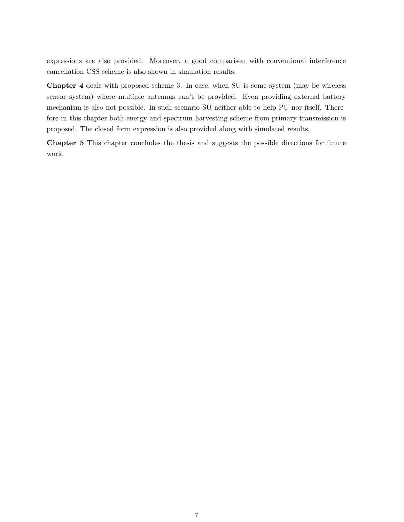expressions are also provided. Moreover, a good comparison with conventional interference cancellation CSS scheme is also shown in simulation results.

Chapter 4 deals with proposed scheme 3. In case, when SU is some system (may be wireless sensor system) where multiple antennas can't be provided. Even providing external battery mechanism is also not possible. In such scenario SU neither able to help PU nor itself. Therefore in this chapter both energy and spectrum harvesting scheme from primary transmission is proposed. The closed form expression is also provided along with simulated results.

Chapter 5 This chapter concludes the thesis and suggests the possible directions for future work.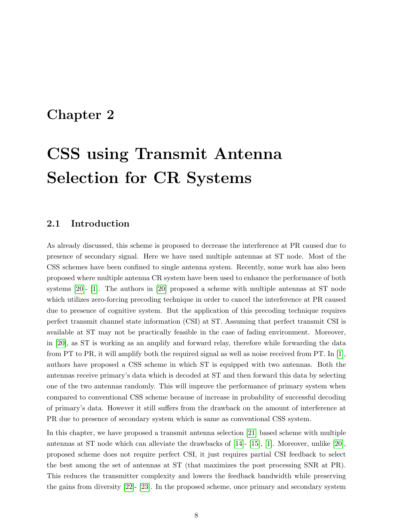# <span id="page-16-0"></span>Chapter 2

# CSS using Transmit Antenna Selection for CR Systems

### <span id="page-16-1"></span>2.1 Introduction

As already discussed, this scheme is proposed to decrease the interference at PR caused due to presence of secondary signal. Here we have used multiple antennas at ST node. Most of the CSS schemes have been confined to single antenna system. Recently, some work has also been proposed where multiple antenna CR system have been used to enhance the performance of both systems [\[20\]](#page-54-10)- [\[1\]](#page-53-0). The authors in [\[20\]](#page-54-10) proposed a scheme with multiple antennas at ST node which utilizes zero-forcing precoding technique in order to cancel the interference at PR caused due to presence of cognitive system. But the application of this precoding technique requires perfect transmit channel state information (CSI) at ST. Assuming that perfect transmit CSI is available at ST may not be practically feasible in the case of fading environment. Moreover, in [\[20\]](#page-54-10), as ST is working as an amplify and forward relay, therefore while forwarding the data from PT to PR, it will amplify both the required signal as well as noise received from PT. In [\[1\]](#page-53-0), authors have proposed a CSS scheme in which ST is equipped with two antennas. Both the antennas receive primary's data which is decoded at ST and then forward this data by selecting one of the two antennas randomly. This will improve the performance of primary system when compared to conventional CSS scheme because of increase in probability of successful decoding of primary's data. However it still suffers from the drawback on the amount of interference at PR due to presence of secondary system which is same as conventional CSS system.

In this chapter, we have proposed a transmit antenna selection [\[21\]](#page-54-11) based scheme with multiple antennas at ST node which can alleviate the drawbacks of [\[14\]](#page-54-4)- [\[15\]](#page-54-5), [\[1\]](#page-53-0). Moreover, unlike [\[20\]](#page-54-10), proposed scheme does not require perfect CSI, it just requires partial CSI feedback to select the best among the set of antennas at ST (that maximizes the post processing SNR at PR). This reduces the transmitter complexity and lowers the feedback bandwidth while preserving the gains from diversity [\[22\]](#page-54-12)- [\[23\]](#page-55-0). In the proposed scheme, once primary and secondary system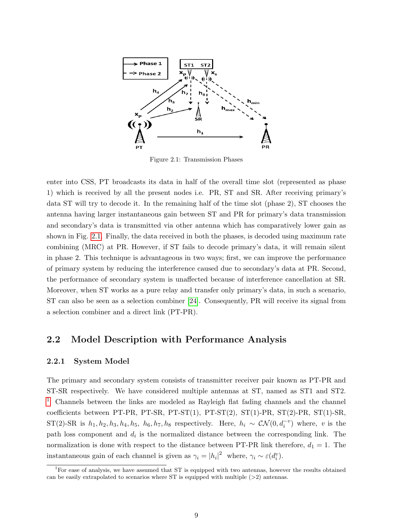<span id="page-17-2"></span>

Figure 2.1: Transmission Phases

enter into CSS, PT broadcasts its data in half of the overall time slot (represented as phase 1) which is received by all the present nodes i.e. PR, ST and SR. After receiving primary's data ST will try to decode it. In the remaining half of the time slot (phase 2), ST chooses the antenna having larger instantaneous gain between ST and PR for primary's data transmission and secondary's data is transmitted via other antenna which has comparatively lower gain as shown in Fig. [2.1.](#page-17-2) Finally, the data received in both the phases, is decoded using maximum rate combining (MRC) at PR. However, if ST fails to decode primary's data, it will remain silent in phase 2. This technique is advantageous in two ways; first, we can improve the performance of primary system by reducing the interference caused due to secondary's data at PR. Second, the performance of secondary system is unaffected because of interference cancellation at SR. Moreover, when ST works as a pure relay and transfer only primary's data, in such a scenario, ST can also be seen as a selection combiner [\[24\]](#page-55-1). Consequently, PR will receive its signal from a selection combiner and a direct link (PT-PR).

#### <span id="page-17-0"></span>2.2 Model Description with Performance Analysis

#### <span id="page-17-1"></span>2.2.1 System Model

The primary and secondary system consists of transmitter receiver pair known as PT-PR and ST-SR respectively. We have considered multiple antennas at ST, named as ST1 and ST2. [1](#page-17-3) Channels between the links are modeled as Rayleigh flat fading channels and the channel coefficients between PT-PR, PT-SR, PT-ST(1), PT-ST(2), ST(1)-PR, ST(2)-PR, ST(1)-SR, ST(2)-SR is  $h_1, h_2, h_3, h_4, h_5, h_6, h_7, h_8$  respectively. Here,  $h_i \sim \mathcal{CN}(0, d_i^{-v})$  where, v is the path loss component and  $d_i$  is the normalized distance between the corresponding link. The normalization is done with respect to the distance between PT-PR link therefore,  $d_1 = 1$ . The instantaneous gain of each channel is given as  $\gamma_i = |h_i|^2$  where,  $\gamma_i \sim \varepsilon(d_i^v)$ .

<span id="page-17-3"></span><sup>&</sup>lt;sup>1</sup>For ease of analysis, we have assumed that ST is equipped with two antennas, however the results obtained can be easily extrapolated to scenarios where ST is equipped with multiple  $(>2)$  antennas.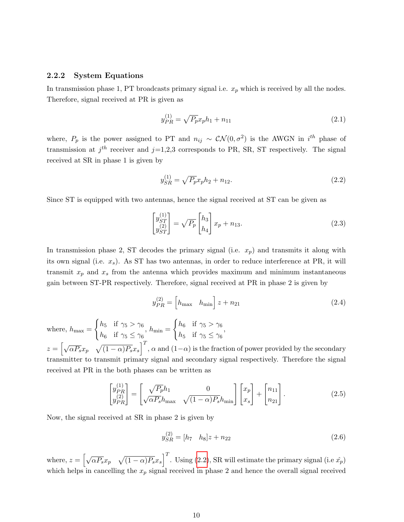#### <span id="page-18-0"></span>2.2.2 System Equations

In transmission phase 1, PT broadcasts primary signal i.e.  $x_p$  which is received by all the nodes. Therefore, signal received at PR is given as

$$
y_{PR}^{(1)} = \sqrt{P_p} x_p h_1 + n_{11}
$$
\n(2.1)

where,  $P_p$  is the power assigned to PT and  $n_{ij} \sim \mathcal{CN}(0, \sigma^2)$  is the AWGN in  $i^{th}$  phase of transmission at  $j<sup>th</sup>$  receiver and  $j=1,2,3$  corresponds to PR, SR, ST respectively. The signal received at SR in phase 1 is given by

<span id="page-18-1"></span>
$$
y_{SR}^{(1)} = \sqrt{P_p} x_p h_2 + n_{12}.
$$
\n(2.2)

Since ST is equipped with two antennas, hence the signal received at ST can be given as

$$
\begin{bmatrix} y_{ST}^{(1)} \\ y_{ST}^{(2)} \end{bmatrix} = \sqrt{P_p} \begin{bmatrix} h_3 \\ h_4 \end{bmatrix} x_p + n_{13}.
$$
 (2.3)

In transmission phase 2, ST decodes the primary signal (i.e.  $x_p$ ) and transmits it along with its own signal (i.e.  $x_s$ ). As ST has two antennas, in order to reduce interference at PR, it will transmit  $x_p$  and  $x_s$  from the antenna which provides maximum and minimum instantaneous gain between ST-PR respectively. Therefore, signal received at PR in phase 2 is given by

$$
y_{PR}^{(2)} = \begin{bmatrix} h_{\text{max}} & h_{\text{min}} \end{bmatrix} z + n_{21}
$$
\n(2.4)

where,  $h_{\text{max}} =$  $\int h_5$  if  $\gamma_5 > \gamma_6$  $h_6$  if  $\gamma_5 \leq \gamma_6$ ,  $h_{\min} =$  $\int h_6$  if  $\gamma_5 > \gamma_6$  $h_5$  if  $\gamma_5 \leq \gamma_6$ ,  $z = \left[\sqrt{\alpha P_s}x_p \quad \sqrt{(1-\alpha)P_s}x_s\right]^T$ ,  $\alpha$  and  $(1-\alpha)$  is the fraction of power provided by the secondary transmitter to transmit primary signal and secondary signal respectively. Therefore the signal received at PR in the both phases can be written as

$$
\begin{bmatrix} y_{PR}^{(1)} \\ y_{PR}^{(2)} \end{bmatrix} = \begin{bmatrix} \sqrt{P_p} h_1 & 0 \\ \sqrt{\alpha P_s} h_{\text{max}} & \sqrt{(1-\alpha)P_s} h_{\text{min}} \end{bmatrix} \begin{bmatrix} x_p \\ x_s \end{bmatrix} + \begin{bmatrix} n_{11} \\ n_{21} \end{bmatrix}.
$$
 (2.5)

Now, the signal received at SR in phase 2 is given by

$$
y_{SR}^{(2)} = [h_7 \quad h_8]z + n_{22} \tag{2.6}
$$

where,  $z = \begin{bmatrix} \sqrt{\alpha P_s}x_p & \sqrt{(1-\alpha)P_s}x_s \end{bmatrix}^T$ . Using [\(2.2\)](#page-18-1), SR will estimate the primary signal (i.e  $\hat{x}_p$ ) which helps in cancelling the  $x_p$  signal received in phase 2 and hence the overall signal received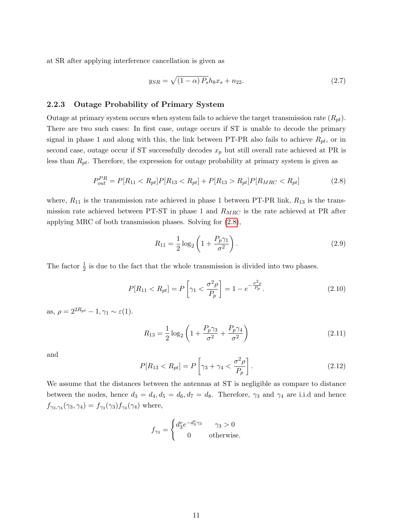at SR after applying interference cancellation is given as

$$
y_{SR} = \sqrt{(1 - \alpha) P_s} h_8 x_s + n_{22}.
$$
 (2.7)

#### <span id="page-19-0"></span>2.2.3 Outage Probability of Primary System

Outage at primary system occurs when system fails to achieve the target transmission rate  $(R_{pt})$ . There are two such cases: In first case, outage occurs if ST is unable to decode the primary signal in phase 1 and along with this, the link between PT-PR also fails to achieve  $R_{pt}$ , or in second case, outage occur if ST successfully decodes  $x_p$  but still overall rate achieved at PR is less than  $R_{pt}$ . Therefore, the expression for outage probability at primary system is given as

<span id="page-19-1"></span>
$$
P_{out}^{PR} = P[R_{11} < R_{pt}]P[R_{13} < R_{pt}] + P[R_{13} > R_{pt}]P[R_{MRC} < R_{pt}] \tag{2.8}
$$

where,  $R_{11}$  is the transmission rate achieved in phase 1 between PT-PR link,  $R_{13}$  is the transmission rate achieved between PT-ST in phase 1 and  $R_{MRC}$  is the rate achieved at PR after applying MRC of both transmission phases. Solving for [\(2.8\)](#page-19-1),

$$
R_{11} = \frac{1}{2} \log_2 \left( 1 + \frac{P_p \gamma_1}{\sigma^2} \right).
$$
 (2.9)

The factor  $\frac{1}{2}$  is due to the fact that the whole transmission is divided into two phases.

<span id="page-19-2"></span>
$$
P[R_{11} < R_{pt}] = P\left[\gamma_1 < \frac{\sigma^2 \rho}{P_p}\right] = 1 - e^{-\frac{\sigma^2 \rho}{P_p}}.\tag{2.10}
$$

as,  $\rho = 2^{2R_{pt}} - 1, \gamma_1 \sim \varepsilon(1)$ .

$$
R_{13} = \frac{1}{2} \log_2 \left( 1 + \frac{P_p \gamma_3}{\sigma^2} + \frac{P_p \gamma_4}{\sigma^2} \right) \tag{2.11}
$$

and

$$
P[R_{13} < R_{pt}] = P\left[\gamma_3 + \gamma_4 < \frac{\sigma^2 \rho}{P_p}\right].\tag{2.12}
$$

We assume that the distances between the antennas at ST is negligible as compare to distance between the nodes, hence  $d_3 = d_4, d_5 = d_6, d_7 = d_8$ . Therefore,  $\gamma_3$  and  $\gamma_4$  are i.i.d and hence  $f_{\gamma_3,\gamma_4}(\gamma_3,\gamma_4)=f_{\gamma_3}(\gamma_3)f_{\gamma_4}(\gamma_4)$  where,

$$
f_{\gamma_3} = \begin{cases} d_3^v e^{-d_3^v \gamma_3} & \gamma_3 > 0 \\ 0 & \text{otherwise.} \end{cases}
$$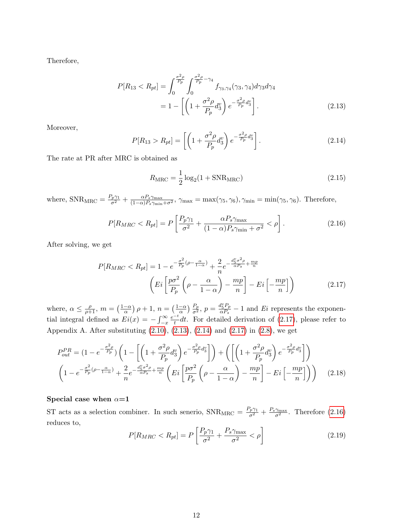Therefore,

$$
P[R_{13} < R_{pt}] = \int_0^{\frac{\sigma^2 \rho}{P_p}} \int_0^{\frac{\sigma^2 \rho}{P_p} - \gamma_4} f_{\gamma_3, \gamma_4}(\gamma_3, \gamma_4) d\gamma_3 d\gamma_4
$$
\n
$$
= 1 - \left[ \left( 1 + \frac{\sigma^2 \rho}{P_p} d_3^v \right) e^{-\frac{\sigma^2 \rho}{P_p} d_3^v} \right]. \tag{2.13}
$$

Moreover,

<span id="page-20-2"></span>
$$
P[R_{13} > R_{pt}] = \left[ \left( 1 + \frac{\sigma^2 \rho}{P_p} d_3^v \right) e^{-\frac{\sigma^2 \rho}{P_p} d_3^v} \right].
$$
 (2.14)

The rate at PR after MRC is obtained as

<span id="page-20-1"></span><span id="page-20-0"></span>
$$
R_{\rm MRC} = \frac{1}{2} \log_2(1 + \text{SNR}_{\rm MRC})
$$
\n(2.15)

where,  $\text{SNR}_{\text{MRC}} = \frac{P_p \gamma_1}{\sigma^2} + \frac{\alpha P_s \gamma_{\text{max}}}{(1-\alpha)P_s \gamma_{\text{min}} + \sigma^2}$ ,  $\gamma_{\text{max}} = \max(\gamma_5, \gamma_6)$ ,  $\gamma_{\text{min}} = \min(\gamma_5, \gamma_6)$ . Therefore,

<span id="page-20-3"></span>
$$
P[R_{MRC} < R_{pt}] = P\left[\frac{P_p\gamma_1}{\sigma^2} + \frac{\alpha P_s\gamma_{\text{max}}}{(1-\alpha)P_s\gamma_{\text{min}} + \sigma^2} < \rho\right].\tag{2.16}
$$

After solving, we get

$$
P[R_{MRC} < R_{pt}] = 1 - e^{-\frac{\sigma^2}{P_p}(\rho - \frac{\alpha}{1 - \alpha})} + \frac{2}{n} e^{-\frac{d_s^v \sigma^2 \rho}{\alpha P_s} + \frac{mp}{n}}
$$
\n
$$
\left( Ei \left[ \frac{p\sigma^2}{P_p} \left( \rho - \frac{\alpha}{1 - \alpha} \right) - \frac{mp}{n} \right] - Ei \left[ -\frac{mp}{n} \right] \right) \tag{2.17}
$$

where,  $\alpha \leq \frac{\rho}{\rho+1}$ ,  $m = \left(\frac{1-\alpha}{\alpha}\right)$  $\frac{-\alpha}{\alpha}$ )  $\rho + 1$ ,  $n = \left(\frac{1-\alpha}{\alpha}\right)$  $\frac{1-\alpha}{\alpha}$ )  $\frac{P_p}{\sigma^2}$ ,  $p = \frac{d_5^v P_p}{\alpha P_s}$  $\frac{u_5 P_p}{\alpha P_s} - 1$  and Ei represents the exponential integral defined as  $Ei(x) = -\int_{-x}^{\infty}$  $e^{-t}$  $\frac{t}{t}dt$ . For detailed derivation of [\(2.17\)](#page-20-0), please refer to Appendix A. After substituting  $(2.10)$ ,  $(2.13)$ ,  $(2.14)$  and  $(2.17)$  in  $(2.8)$ , we get

$$
P_{out}^{PR} = (1 - e^{-\frac{\sigma^2 \rho}{P_p}}) \left( 1 - \left[ \left( 1 + \frac{\sigma^2 \rho}{P_p} d_3^v \right) e^{-\frac{\sigma^2 \rho}{P_p} d_3^v} \right] \right) + \left( \left[ \left( 1 + \frac{\sigma^2 \rho}{P_p} d_3^v \right) e^{-\frac{\sigma^2 \rho}{P_p} d_3^v} \right] \right)
$$
  

$$
\left( 1 - e^{-\frac{\sigma^2}{P_p} (\rho - \frac{\alpha}{1 - \alpha})} + \frac{2}{n} e^{-\frac{d_5^v \sigma^2 \rho}{\alpha P_s} + \frac{mp}{n}} \left( Ei \left[ \frac{p \sigma^2}{P_p} \left( \rho - \frac{\alpha}{1 - \alpha} \right) - \frac{mp}{n} \right] - Ei \left[ -\frac{mp}{n} \right] \right) \right) \tag{2.18}
$$

#### Special case when  $\alpha=1$

ST acts as a selection combiner. In such senerio,  $SNR_{MRC} = \frac{P_p \gamma_1}{\sigma^2} + \frac{P_s \gamma_{\text{max}}}{\sigma^2}$ . Therefore [\(2.16\)](#page-20-3) reduces to,

<span id="page-20-4"></span>
$$
P[R_{MRC} < R_{pt}] = P\left[\frac{P_p \gamma_1}{\sigma^2} + \frac{P_s \gamma_{\text{max}}}{\sigma^2} < \rho\right] \tag{2.19}
$$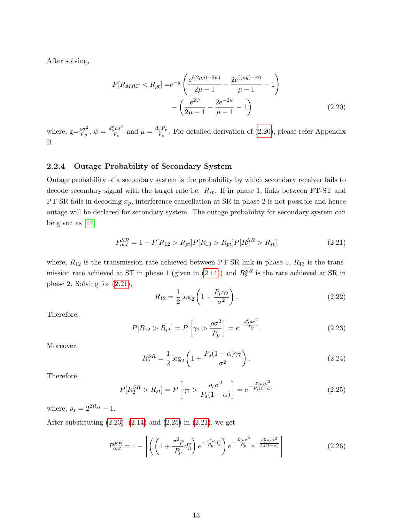After solving,

<span id="page-21-1"></span>
$$
P[R_{MRC} < R_{pt}] = e^{-g} \left( \frac{e^{((2\mu g) - 2\psi)}}{2\mu - 1} - \frac{2e^{((\mu g) - \psi)}}{\mu - 1} - 1 \right) - \left( \frac{e^{2\psi}}{2\mu - 1} - \frac{2e^{-2\psi}}{\mu - 1} - 1 \right) \tag{2.20}
$$

where,  $g = \frac{\rho \sigma^2}{P_P}$ ,  $\psi = \frac{d_S^v \rho \sigma^2}{P_s}$  $\frac{d_S^2 \rho \sigma^2}{P_s}$  and  $\mu = \frac{d_S^v P_p}{P_s}$  $\frac{5^{T}P}{P_s}$ . For detailed derivation of [\(2.20\)](#page-21-1), please refer Appendix B.

#### <span id="page-21-0"></span>2.2.4 Outage Probability of Secondary System

Outage probability of a secondary system is the probability by which secondary receiver fails to decode secondary signal with the target rate i.e.  $R_{st}$ . If in phase 1, links between PT-ST and PT-SR fails in decoding  $x_p$ , interference cancellation at SR in phase 2 is not possible and hence outage will be declared for secondary system. The outage probability for secondary system can be given as [\[14\]](#page-54-4)

$$
P_{out}^{SR} = 1 - P[R_{12} > R_{pt}]P[R_{13} > R_{pt}]P[R_2^{SR} > R_{st}]
$$
\n(2.21)

where,  $R_{12}$  is the transmission rate achieved between PT-SR link in phase 1,  $R_{13}$  is the trans-mission rate achieved at ST in phase 1 (given in [\(2.14\)](#page-20-2)) and  $R_2^{SR}$  is the rate achieved at SR in phase 2. Solving for [\(2.21\)](#page-21-2),

<span id="page-21-2"></span>
$$
R_{12} = \frac{1}{2} \log_2 \left( 1 + \frac{P_p \gamma_2}{\sigma^2} \right).
$$
 (2.22)

Therefore,

<span id="page-21-3"></span>
$$
P[R_{12} > R_{pt}] = P\left[\gamma_2 > \frac{\rho \sigma^2}{P_p}\right] = e^{-\frac{d_p^2 \rho \sigma^2}{P_p}}.
$$
\n(2.23)

Moreover,

$$
R_2^{SR} = \frac{1}{2} \log_2 \left( 1 + \frac{P_s (1 - \alpha) \gamma_7}{\sigma^2} \right).
$$
 (2.24)

Therefore,

<span id="page-21-4"></span>
$$
P[R_2^{SR} > R_{st}] = P\left[\gamma_7 > \frac{\rho_s \sigma^2}{P_s(1-\alpha)}\right] = e^{-\frac{d_{7}^v \rho_s \sigma^2}{P_s(1-\alpha)}}\tag{2.25}
$$

where,  $\rho_s = 2^{2R_{st}} - 1$ .

After substituting  $(2.23)$ ,  $(2.14)$  and  $(2.25)$  in  $(2.21)$ , we get

$$
P_{out}^{SR} = 1 - \left[ \left( \left( 1 + \frac{\sigma^2 \rho}{P_p} d_3^v \right) e^{-\frac{\sigma^2 \rho}{P_p} d_3^v} \right) e^{-\frac{d_2^v \rho \sigma^2}{P_p}} e^{-\frac{d_2^v \rho s \sigma^2}{P_s (1 - \alpha)}} \right]
$$
(2.26)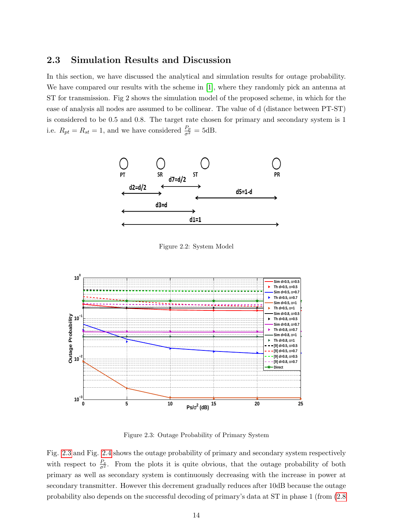## <span id="page-22-0"></span>2.3 Simulation Results and Discussion

In this section, we have discussed the analytical and simulation results for outage probability. We have compared our results with the scheme in [\[1\]](#page-53-0), where they randomly pick an antenna at ST for transmission. Fig 2 shows the simulation model of the proposed scheme, in which for the ease of analysis all nodes are assumed to be collinear. The value of d (distance between PT-ST) is considered to be 0.5 and 0.8. The target rate chosen for primary and secondary system is 1 i.e.  $R_{pt} = R_{st} = 1$ , and we have considered  $\frac{P_p}{\sigma^2} = 5$ dB.

<span id="page-22-1"></span>

Figure 2.2: System Model

<span id="page-22-2"></span>

Figure 2.3: Outage Probability of Primary System

Fig. [2.3](#page-22-2) and Fig. [2.4](#page-23-0) shows the outage probability of primary and secondary system respectively with respect to  $\frac{P_s}{\sigma^2}$ . From the plots it is quite obvious, that the outage probability of both primary as well as secondary system is continuously decreasing with the increase in power at secondary transmitter. However this decrement gradually reduces after 10dB because the outage probability also depends on the successful decoding of primary's data at ST in phase 1 (from [\(2.8](#page-19-1)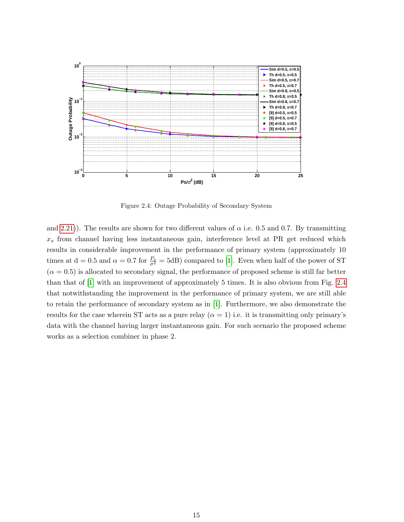<span id="page-23-0"></span>

Figure 2.4: Outage Probability of Secondary System

and [2.21\)](#page-21-2)). The results are shown for two different values of  $\alpha$  i.e. 0.5 and 0.7. By transmitting  $x_s$  from channel having less instantaneous gain, interference level at PR get reduced which results in considerable improvement in the performance of primary system (approximately 10 times at  $d = 0.5$  and  $\alpha = 0.7$  for  $\frac{P_s}{\sigma^2} = 5dB$ ) compared to [\[1\]](#page-53-0). Even when half of the power of ST  $(\alpha = 0.5)$  is allocated to secondary signal, the performance of proposed scheme is still far better than that of [\[1\]](#page-53-0) with an improvement of approximately 5 times. It is also obvious from Fig. [2.4](#page-23-0) that notwithstanding the improvement in the performance of primary system, we are still able to retain the performance of secondary system as in [\[1\]](#page-53-0). Furthermore, we also demonstrate the results for the case wherein ST acts as a pure relay  $(\alpha = 1)$  i.e. it is transmitting only primary's data with the channel having larger instantaneous gain. For such scenario the proposed scheme works as a selection combiner in phase 2.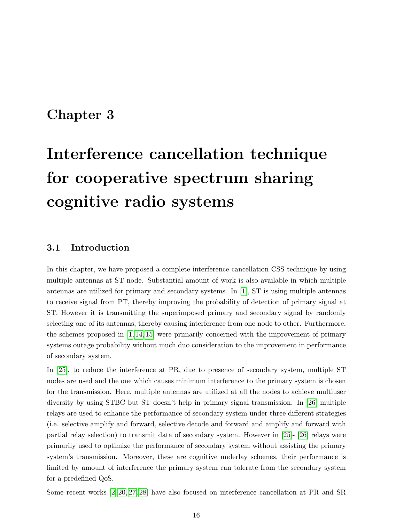# <span id="page-24-0"></span>Chapter 3

# Interference cancellation technique for cooperative spectrum sharing cognitive radio systems

## <span id="page-24-1"></span>3.1 Introduction

In this chapter, we have proposed a complete interference cancellation CSS technique by using multiple antennas at ST node. Substantial amount of work is also available in which multiple antennas are utilized for primary and secondary systems. In [\[1\]](#page-53-0), ST is using multiple antennas to receive signal from PT, thereby improving the probability of detection of primary signal at ST. However it is transmitting the superimposed primary and secondary signal by randomly selecting one of its antennas, thereby causing interference from one node to other. Furthermore, the schemes proposed in [\[1,](#page-53-0) [14,](#page-54-4) [15\]](#page-54-5) were primarily concerned with the improvement of primary systems outage probability without much duo consideration to the improvement in performance of secondary system.

In [\[25\]](#page-55-2), to reduce the interference at PR, due to presence of secondary system, multiple ST nodes are used and the one which causes minimum interference to the primary system is chosen for the transmission. Here, multiple antennas are utilized at all the nodes to achieve multiuser diversity by using STBC but ST doesn't help in primary signal transmission. In [\[26\]](#page-55-3) multiple relays are used to enhance the performance of secondary system under three different strategies (i.e. selective amplify and forward, selective decode and forward and amplify and forward with partial relay selection) to transmit data of secondary system. However in [\[25\]](#page-55-2)- [\[26\]](#page-55-3) relays were primarily used to optimize the performance of secondary system without assisting the primary system's transmission. Moreover, these are cognitive underlay schemes, their performance is limited by amount of interference the primary system can tolerate from the secondary system for a predefined QoS.

Some recent works [\[2,](#page-53-1) [20,](#page-54-10) [27,](#page-55-4) [28\]](#page-55-5) have also focused on interference cancellation at PR and SR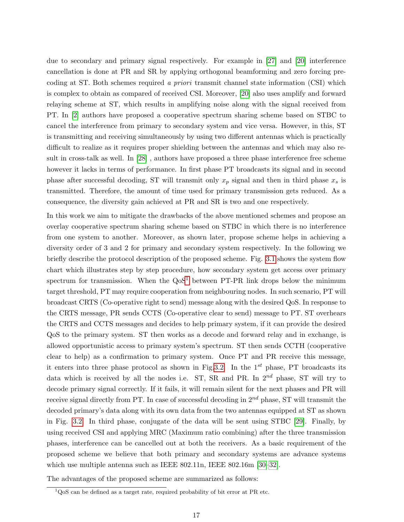due to secondary and primary signal respectively. For example in [\[27\]](#page-55-4) and [\[20\]](#page-54-10) interference cancellation is done at PR and SR by applying orthogonal beamforming and zero forcing precoding at ST. Both schemes required a priori transmit channel state information (CSI) which is complex to obtain as compared of received CSI. Moreover, [\[20\]](#page-54-10) also uses amplify and forward relaying scheme at ST, which results in amplifying noise along with the signal received from PT. In [\[2\]](#page-53-1) authors have proposed a cooperative spectrum sharing scheme based on STBC to cancel the interference from primary to secondary system and vice versa. However, in this, ST is transmitting and receiving simultaneously by using two different antennas which is practically difficult to realize as it requires proper shielding between the antennas and which may also result in cross-talk as well. In [\[28\]](#page-55-5) , authors have proposed a three phase interference free scheme however it lacks in terms of performance. In first phase PT broadcasts its signal and in second phase after successful decoding, ST will transmit only  $x_p$  signal and then in third phase  $x_s$  is transmitted. Therefore, the amount of time used for primary transmission gets reduced. As a consequence, the diversity gain achieved at PR and SR is two and one respectively.

In this work we aim to mitigate the drawbacks of the above mentioned schemes and propose an overlay cooperative spectrum sharing scheme based on STBC in which there is no interference from one system to another. Moreover, as shown later, propose scheme helps in achieving a diversity order of 3 and 2 for primary and secondary system respectively. In the following we briefly describe the protocol description of the proposed scheme. Fig. [3.1](#page-34-0) shows the system flow chart which illustrates step by step procedure, how secondary system get access over primary spectrum for transmission. When the  $Q<sub>0</sub>S<sup>1</sup>$  $Q<sub>0</sub>S<sup>1</sup>$  $Q<sub>0</sub>S<sup>1</sup>$  between PT-PR link drops below the minimum target threshold, PT may require cooperation from neighbouring nodes. In such scenario, PT will broadcast CRTS (Co-operative right to send) message along with the desired QoS. In response to the CRTS message, PR sends CCTS (Co-operative clear to send) message to PT. ST overhears the CRTS and CCTS messages and decides to help primary system, if it can provide the desired QoS to the primary system. ST then works as a decode and forward relay and in exchange, is allowed opportunistic access to primary system's spectrum. ST then sends CCTH (cooperative clear to help) as a confirmation to primary system. Once PT and PR receive this message, it enters into three phase protocol as shown in Fig[.3.2.](#page-35-0) In the  $1^{st}$  phase, PT broadcasts its data which is received by all the nodes i.e. ST, SR and PR. In  $2^{nd}$  phase, ST will try to decode primary signal correctly. If it fails, it will remain silent for the next phases and PR will receive signal directly from PT. In case of successful decoding in  $2^{nd}$  phase, ST will transmit the decoded primary's data along with its own data from the two antennas equipped at ST as shown in Fig. [3.2.](#page-35-0) In third phase, conjugate of the data will be sent using STBC [\[29\]](#page-55-6). Finally, by using received CSI and applying MRC (Maximum ratio combining) after the three transmission phases, interference can be cancelled out at both the receivers. As a basic requirement of the proposed scheme we believe that both primary and secondary systems are advance systems which use multiple antenna such as IEEE 802.11n, IEEE 802.16m [\[30–](#page-55-7)[32\]](#page-55-8).

The advantages of the proposed scheme are summarized as follows:

<span id="page-25-0"></span> $1$ QoS can be defined as a target rate, required probability of bit error at PR etc.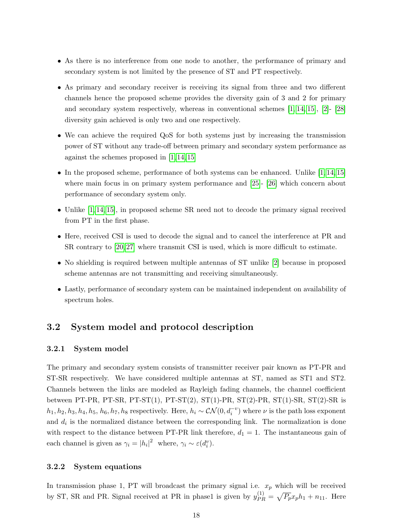- As there is no interference from one node to another, the performance of primary and secondary system is not limited by the presence of ST and PT respectively.
- As primary and secondary receiver is receiving its signal from three and two different channels hence the proposed scheme provides the diversity gain of 3 and 2 for primary and secondary system respectively, whereas in conventional schemes  $[1, 14, 15]$  $[1, 14, 15]$  $[1, 14, 15]$ ,  $[2]$ -  $[28]$ diversity gain achieved is only two and one respectively.
- We can achieve the required QoS for both systems just by increasing the transmission power of ST without any trade-off between primary and secondary system performance as against the schemes proposed in [\[1,](#page-53-0) [14,](#page-54-4) [15\]](#page-54-5)
- In the proposed scheme, performance of both systems can be enhanced. Unlike  $[1, 14, 15]$  $[1, 14, 15]$  $[1, 14, 15]$ where main focus in on primary system performance and [\[25\]](#page-55-2)- [\[26\]](#page-55-3) which concern about performance of secondary system only.
- Unlike [\[1,](#page-53-0) [14,](#page-54-4) [15\]](#page-54-5), in proposed scheme SR need not to decode the primary signal received from PT in the first phase.
- Here, received CSI is used to decode the signal and to cancel the interference at PR and SR contrary to [\[20,](#page-54-10) [27\]](#page-55-4) where transmit CSI is used, which is more difficult to estimate.
- No shielding is required between multiple antennas of ST unlike [\[2\]](#page-53-1) because in proposed scheme antennas are not transmitting and receiving simultaneously.
- Lastly, performance of secondary system can be maintained independent on availability of spectrum holes.

## <span id="page-26-0"></span>3.2 System model and protocol description

#### <span id="page-26-1"></span>3.2.1 System model

The primary and secondary system consists of transmitter receiver pair known as PT-PR and ST-SR respectively. We have considered multiple antennas at ST, named as ST1 and ST2. Channels between the links are modeled as Rayleigh fading channels, the channel coefficient between PT-PR, PT-SR, PT-ST(1), PT-ST(2), ST(1)-PR, ST(2)-PR, ST(1)-SR, ST(2)-SR is  $h_1, h_2, h_3, h_4, h_5, h_6, h_7, h_8$  respectively. Here,  $h_i \sim \mathcal{CN}(0, d_i^{-v})$  where  $\nu$  is the path loss exponent and  $d_i$  is the normalized distance between the corresponding link. The normalization is done with respect to the distance between PT-PR link therefore,  $d_1 = 1$ . The instantaneous gain of each channel is given as  $\gamma_i = |h_i|^2$  where,  $\gamma_i \sim \varepsilon(d_i^v)$ .

#### <span id="page-26-2"></span>3.2.2 System equations

In transmission phase 1, PT will broadcast the primary signal i.e.  $x_p$  which will be received by ST, SR and PR. Signal received at PR in phase1 is given by  $y_{PR}^{(1)} = \sqrt{P_p} x_p h_1 + n_{11}$ . Here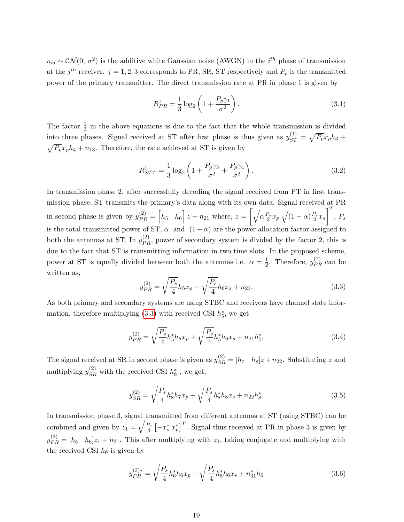$n_{ij} \sim \mathcal{CN}(0, \sigma^2)$  is the additive white Gaussian noise (AWGN) in the *i*<sup>th</sup> phase of transmission at the  $j^{th}$  receiver.  $j = 1, 2, 3$  corresponds to PR, SR, ST respectively and  $P_p$  is the transmitted power of the primary transmitter. The direct transmission rate at PR in phase 1 is given by

<span id="page-27-1"></span>
$$
R_{PR}^1 = \frac{1}{3} \log_2 \left( 1 + \frac{P_p \gamma_1}{\sigma^2} \right).
$$
 (3.1)

The factor  $\frac{1}{3}$  in the above equations is due to the fact that the whole transmission is divided into three phases. Signal received at ST after first phase is thus given as  $y_{ST}^{(1)} = \sqrt{P_p}x_ph_3 +$  $\sqrt{P_p}x_ph_4 + n_{13}$ . Therefore, the rate achieved at ST is given by

<span id="page-27-2"></span>
$$
R_{STT}^1 = \frac{1}{3} \log_2 \left( 1 + \frac{P_p \gamma_3}{\sigma^2} + \frac{P_p \gamma_4}{\sigma^2} \right). \tag{3.2}
$$

In transmission phase 2, after successfully decoding the signal received from PT in first transmission phase, ST transmits the primary's data along with its own data. Signal received at PR in second phase is given by  $y_{PR}^{(2)} = \begin{bmatrix} h_5 & h_6 \end{bmatrix} z + n_{21}$  where,  $z = \begin{bmatrix} \sqrt{\alpha \frac{P_s}{2}} x_p \sqrt{(1-\alpha) \frac{P_s}{2}} x_s \end{bmatrix}$  $\mathcal{I}^T$  $, P_s$ is the total transmitted power of ST,  $\alpha$  and  $(1 - \alpha)$  are the power allocation factor assigned to both the antennas at ST. In  $y_{PR}^{(2)}$ , power of secondary system is divided by the factor 2, this is due to the fact that ST is transmitting information in two time slots. In the proposed scheme, power at ST is equally divided between both the antennas i.e.  $\alpha = \frac{1}{2}$  $\frac{1}{2}$ . Therefore,  $y_{PR}^{(2)}$  can be written as,

<span id="page-27-0"></span>
$$
y_{PR}^{(2)} = \sqrt{\frac{P_s}{4}} h_5 x_p + \sqrt{\frac{P_s}{4}} h_6 x_s + n_{21}.
$$
\n(3.3)

As both primary and secondary systems are using STBC and receivers have channel state information, therefore multiplying  $(3.3)$  with received CSI  $h_5^*$ , we get

$$
y_{PR}^{(2)} = \sqrt{\frac{P_s}{4}} h_5^* h_5 x_p + \sqrt{\frac{P_s}{4}} h_5^* h_6 x_s + n_{21} h_5^*.
$$
 (3.4)

The signal received at SR in second phase is given as  $y_{SR}^{(2)} = [h_7 \quad h_8]z + n_{22}$ . Substituting z and multiplying  $y_{SR}^{(2)}$  with the received CSI  $h_8^*$  , we get,

$$
y_{SR}^{(2)} = \sqrt{\frac{P_s}{4}} h_8^* h_7 x_p + \sqrt{\frac{P_s}{4}} h_8^* h_8 x_s + n_{22} h_8^*.
$$
 (3.5)

In transmission phase 3, signal transmitted from different antennas at ST (using STBC) can be combined and given by  $z_1 = \sqrt{\frac{P_s}{4}} \left[ -x_s^* x_p^* \right]^T$ . Signal thus received at PR in phase 3 is given by  $y_{PR}^{(3)} = [h_5 \quad h_6]z_1 + n_{31}$ . This after multiplying with  $z_1$ , taking conjugate and multiplying with the received CSI  $h_6$  is given by

$$
y_{PR}^{(3)*} = \sqrt{\frac{P_s}{4}} h_6^* h_6 x_p - \sqrt{\frac{P_s}{4}} h_5^* h_6 x_s + n_{31}^* h_6 \tag{3.6}
$$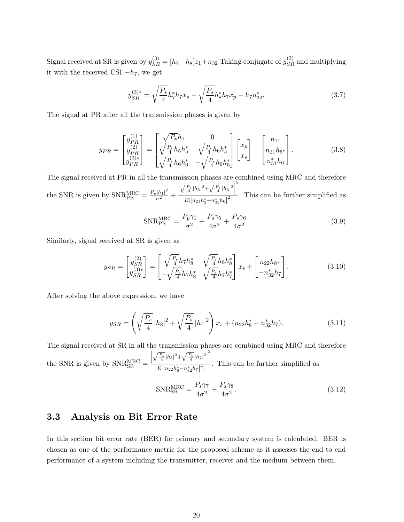Signal received at SR is given by  $y_{SR}^{(3)} = [h_7 \quad h_8]z_1 + n_{32}$  Taking conjugate of  $y_{SR}^{(3)}$  and multiplying it with the received CSI  $-h<sub>7</sub>$ , we get

$$
y_{SR}^{(3)*} = \sqrt{\frac{P_s}{4}} h_7^* h_7 x_s - \sqrt{\frac{P_s}{4}} h_8^* h_7 x_p - h_7 n_{32}^*.
$$
 (3.7)

The signal at PR after all the transmission phases is given by

$$
y_{PR} = \begin{bmatrix} y_{PR}^{(1)} \\ y_{PR}^{(2)} \\ y_{PR}^{(3)*} \end{bmatrix} = \begin{bmatrix} \sqrt{P_p}h_1 & 0 \\ \sqrt{\frac{P_s}{4}}h_5h_5^* & \sqrt{\frac{P_s}{4}}h_6h_5^* \\ \sqrt{\frac{P_s}{4}}h_6h_6^* & -\sqrt{\frac{P_s}{4}}h_6h_5^* \end{bmatrix} \begin{bmatrix} x_p \\ x_s \end{bmatrix} + \begin{bmatrix} n_{11} \\ n_{21}h_5^* \\ n_{31}^*h_6 \end{bmatrix} . \tag{3.8}
$$

The signal received at PR in all the transmission phases are combined using MRC and therefore the SNR is given by  $\text{SNR}_{\text{PR}}^{\text{MRC}} = \frac{P_p |h_1|^2}{\sigma^2} +$  $\begin{array}{c} \hline \end{array}$  $\sqrt{\frac{P_s}{4}}|h_5|^2 + \sqrt{\frac{P_s}{4}}|h_6|^2$ 2  $\frac{1}{E[|n_{21}h_5^*+n_{31}^*h_6|^2]}$ . This can be further simplified as

<span id="page-28-1"></span>
$$
\text{SNR}_{\text{PR}}^{\text{MRC}} = \frac{P_p \gamma_1}{\sigma^2} + \frac{P_s \gamma_5}{4\sigma^2} + \frac{P_s \gamma_6}{4\sigma^2}.
$$
\n(3.9)

Similarly, signal received at SR is given as

$$
y_{SR} = \begin{bmatrix} y_{SR}^{(2)} \\ y_{SR}^{(3)*} \end{bmatrix} = \begin{bmatrix} \sqrt{\frac{P_s}{4}} h_7 h_8^* & \sqrt{\frac{P_s}{4}} h_8 h_8^* \\ -\sqrt{\frac{P_s}{4}} h_7 h_8^* & \sqrt{\frac{P_s}{4}} h_7 h_7^* \end{bmatrix} x_s + \begin{bmatrix} n_{22} h_{8*} \\ -n_{32}^* h_7 \end{bmatrix} . \tag{3.10}
$$

After solving the above expression, we have

$$
y_{SR} = \left(\sqrt{\frac{P_s}{4}}\left|h_8\right|^2 + \sqrt{\frac{P_s}{4}}\left|h_7\right|^2\right)x_s + (n_{22}h_8^* - n_{32}^*h_7). \tag{3.11}
$$

The signal received at SR in all the transmission phases are combined using MRC and therefore the SNR is given by  $\text{SNR}_{\text{SR}}^{\text{MRC}} =$  $\begin{array}{c} \hline \end{array}$  $\sqrt{\frac{P_s}{4}}|h_8|^2 + \sqrt{\frac{P_s}{4}}|h_7|^2$ 2  $\frac{1}{E[|n_{22}h_8^*-n_{32}^*h_7|^2]}$ . This can be further simplified as

<span id="page-28-2"></span>
$$
\text{SNR}_{\text{SR}}^{\text{MRC}} = \frac{P_s \gamma_7}{4\sigma^2} + \frac{P_s \gamma_8}{4\sigma^2}.
$$
\n(3.12)

### <span id="page-28-0"></span>3.3 Analysis on Bit Error Rate

In this section bit error rate (BER) for primary and secondary system is calculated. BER is chosen as one of the performance metric for the proposed scheme as it assesses the end to end performance of a system including the transmitter, receiver and the medium between them.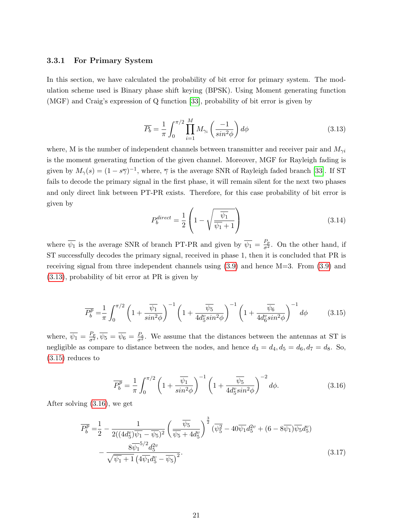#### <span id="page-29-0"></span>3.3.1 For Primary System

In this section, we have calculated the probability of bit error for primary system. The modulation scheme used is Binary phase shift keying (BPSK). Using Moment generating function (MGF) and Craig's expression of Q function [\[33\]](#page-55-9), probability of bit error is given by

<span id="page-29-1"></span>
$$
\overline{P_b} = \frac{1}{\pi} \int_0^{\pi/2} \prod_{i=1}^M M_{\gamma_i} \left( \frac{-1}{\sin^2 \phi} \right) d\phi \tag{3.13}
$$

where, M is the number of independent channels between transmitter and receiver pair and  $M_{\gamma i}$ is the moment generating function of the given channel. Moreover, MGF for Rayleigh fading is given by  $M_{\gamma}(s) = (1 - s\overline{\gamma})^{-1}$ , where,  $\overline{\gamma}$  is the average SNR of Rayleigh faded branch [\[33\]](#page-55-9). If ST fails to decode the primary signal in the first phase, it will remain silent for the next two phases and only direct link between PT-PR exists. Therefore, for this case probability of bit error is given by

<span id="page-29-2"></span>
$$
P_b^{\text{direct}} = \frac{1}{2} \left( 1 - \sqrt{\frac{\overline{\psi_1}}{\overline{\psi_1} + 1}} \right) \tag{3.14}
$$

where  $\overline{\psi_1}$  is the average SNR of branch PT-PR and given by  $\overline{\psi_1} = \frac{P_p}{\sigma^2}$ . On the other hand, if ST successfully decodes the primary signal, received in phase 1, then it is concluded that PR is receiving signal from three independent channels using  $(3.9)$  and hence M=3. From  $(3.9)$  and [\(3.13\)](#page-29-1), probability of bit error at PR is given by

$$
\overline{P_b^p} = \frac{1}{\pi} \int_0^{\pi/2} \left( 1 + \frac{\overline{\psi_1}}{\sin^2 \phi} \right)^{-1} \left( 1 + \frac{\overline{\psi_5}}{4d_5^v \sin^2 \phi} \right)^{-1} \left( 1 + \frac{\overline{\psi_6}}{4d_6^v \sin^2 \phi} \right)^{-1} d\phi \tag{3.15}
$$

where,  $\overline{\psi_1} = \frac{P_p}{\sigma^2}$ ,  $\overline{\psi_5} = \overline{\psi_6} = \frac{P_s}{\sigma^2}$ . We assume that the distances between the antennas at ST is negligible as compare to distance between the nodes, and hence  $d_3 = d_4, d_5 = d_6, d_7 = d_8$ . So, [\(3.15\)](#page-29-2) reduces to

<span id="page-29-3"></span>
$$
\overline{P_b^p} = \frac{1}{\pi} \int_0^{\pi/2} \left( 1 + \frac{\overline{\psi_1}}{\sin^2 \phi} \right)^{-1} \left( 1 + \frac{\overline{\psi_5}}{4d_5^v \sin^2 \phi} \right)^{-2} d\phi. \tag{3.16}
$$

After solving [\(3.16\)](#page-29-3), we get

$$
\overline{P_b^p} = \frac{1}{2} - \frac{1}{2((4d_5^v)\overline{\psi_1} - \overline{\psi_5})^2} \left(\frac{\overline{\psi_5}}{\overline{\psi_5} + 4d_5^v}\right)^{\frac{3}{2}} (\overline{\psi_5^2} - 40\overline{\psi_1}d_5^{2v} + (6 - 8\overline{\psi_1})\overline{\psi_5}d_5^v) - \frac{8\overline{\psi_1}^{5/2}d_5^{2v}}{\sqrt{\overline{\psi_1} + 1} (4\overline{\psi_1}d_5^v - \overline{\psi_5})^2}.
$$
\n(3.17)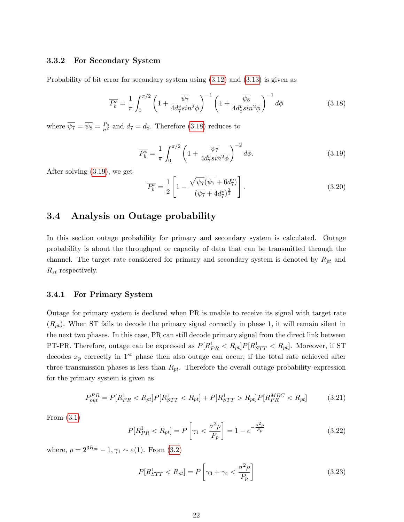#### <span id="page-30-0"></span>3.3.2 For Secondary System

Probability of bit error for secondary system using [\(3.12\)](#page-28-2) and [\(3.13\)](#page-29-1) is given as

<span id="page-30-3"></span>
$$
\overline{P_b^s} = \frac{1}{\pi} \int_0^{\pi/2} \left( 1 + \frac{\overline{\psi_7}}{4d_7^v \sin^2 \phi} \right)^{-1} \left( 1 + \frac{\overline{\psi_8}}{4d_8^v \sin^2 \phi} \right)^{-1} d\phi \tag{3.18}
$$

where  $\overline{\psi_7} = \overline{\psi_8} = \frac{P_s}{\sigma^2}$  and  $d_7 = d_8$ . Therefore [\(3.18\)](#page-30-3) reduces to

<span id="page-30-4"></span>
$$
\overline{P_b^s} = \frac{1}{\pi} \int_0^{\pi/2} \left( 1 + \frac{\overline{\psi_7}}{4d_7^v \sin^2 \phi} \right)^{-2} d\phi. \tag{3.19}
$$

After solving [\(3.19\)](#page-30-4), we get

$$
\overline{P_b^s} = \frac{1}{2} \left[ 1 - \frac{\sqrt{\psi_7} (\overline{\psi_7} + 6d_7^v)}{(\overline{\psi_7} + 4d_7^v)^{\frac{3}{2}}} \right].
$$
\n(3.20)

## <span id="page-30-1"></span>3.4 Analysis on Outage probability

In this section outage probability for primary and secondary system is calculated. Outage probability is about the throughput or capacity of data that can be transmitted through the channel. The target rate considered for primary and secondary system is denoted by  $R_{pt}$  and  $R_{st}$  respectively.

#### <span id="page-30-2"></span>3.4.1 For Primary System

Outage for primary system is declared when PR is unable to receive its signal with target rate  $(R_{pt})$ . When ST fails to decode the primary signal correctly in phase 1, it will remain silent in the next two phases. In this case, PR can still decode primary signal from the direct link between PT-PR. Therefore, outage can be expressed as  $P[R_{PR}^1 < R_{pt}]P[R_{STT}^1 < R_{pt}]$ . Moreover, if ST decodes  $x_p$  correctly in 1<sup>st</sup> phase then also outage can occur, if the total rate achieved after three transmission phases is less than  $R_{pt}$ . Therefore the overall outage probability expression for the primary system is given as

$$
P_{out}^{PR} = P[R_{PR}^1 < R_{pt}]P[R_{STT}^1 < R_{pt}] + P[R_{STT}^1 > R_{pt}]P[R_{PR}^{MRC} < R_{pt}] \tag{3.21}
$$

From [\(3.1\)](#page-27-1)

$$
P[R_{PR}^1 < R_{pt}] = P\left[\gamma_1 < \frac{\sigma^2 \rho}{P_p}\right] = 1 - e^{-\frac{\sigma^2 \rho}{P_p}}\tag{3.22}
$$

where,  $\rho = 2^{3R_{pt}} - 1, \gamma_1 \sim \varepsilon(1)$ . From  $(3.2)$ 

<span id="page-30-5"></span>
$$
P[R_{STT}^1 < R_{pt}] = P\left[\gamma_3 + \gamma_4 < \frac{\sigma^2 \rho}{P_p}\right] \tag{3.23}
$$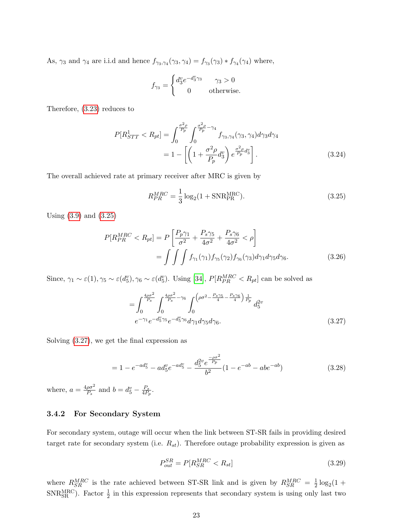As,  $\gamma_3$  and  $\gamma_4$  are i.i.d and hence  $f_{\gamma_3,\gamma_4}(\gamma_3,\gamma_4) = f_{\gamma_3}(\gamma_3) * f_{\gamma_4}(\gamma_4)$  where,

$$
f_{\gamma_3} = \begin{cases} d_3^v e^{-d_3^v \gamma_3} & \gamma_3 > 0 \\ 0 & \text{otherwise.} \end{cases}
$$

Therefore, [\(3.23\)](#page-30-5) reduces to

$$
P[R_{STT}^1 < R_{pt}] = \int_0^{\frac{\sigma^2 \rho}{P_p}} \int_0^{\frac{\sigma^2 \rho}{P_p} - \gamma_4} f_{\gamma_3, \gamma_4}(\gamma_3, \gamma_4) d\gamma_3 d\gamma_4
$$
\n
$$
= 1 - \left[ \left( 1 + \frac{\sigma^2 \rho}{P_p} d_3^v \right) e^{\frac{\sigma^2 \rho}{P_p} d_3^v} \right]. \tag{3.24}
$$

The overall achieved rate at primary receiver after MRC is given by

<span id="page-31-1"></span>
$$
R_{PR}^{MRC} = \frac{1}{3} \log_2(1 + \text{SNR}_{PR}^{\text{MRC}}).
$$
\n(3.25)

Using [\(3.9\)](#page-28-1) and [\(3.25\)](#page-31-1)

$$
P[R_{PR}^{MRC} < R_{pt}] = P\left[\frac{P_p \gamma_1}{\sigma^2} + \frac{P_s \gamma_5}{4\sigma^2} + \frac{P_s \gamma_6}{4\sigma^2} < \rho\right]
$$
\n
$$
= \int \int \int f_{\gamma_1}(\gamma_1) f_{\gamma_5}(\gamma_2) f_{\gamma_6}(\gamma_3) d\gamma_1 d\gamma_5 d\gamma_6. \tag{3.26}
$$

Since,  $\gamma_1 \sim \varepsilon(1), \gamma_5 \sim \varepsilon(d_5^v), \gamma_6 \sim \varepsilon(d_5^v)$ . Using [\[34\]](#page-55-10),  $P[R_{PR}^{MRC} < R_{pt}]$  can be solved as

<span id="page-31-2"></span>
$$
= \int_0^{\frac{4\rho\sigma^2}{P_s}} \int_0^{\frac{4\rho\sigma^2}{P_s} - \gamma_6} \int_0^{\left(\rho\sigma^2 - \frac{P_s\gamma_5}{4} - \frac{P_s\gamma_6}{4}\right) \frac{1}{P_p}} d_5^{2v} \ne^{-\gamma_1} e^{-d_5^v \gamma_5} e^{-d_5^v \gamma_6} d\gamma_1 d\gamma_5 d\gamma_6.
$$
\n(3.27)

Solving [\(3.27\)](#page-31-2), we get the final expression as

$$
= 1 - e^{-ad_5^v} - ad_5^v e^{-ad_5^v} - \frac{d_5^{2v} e^{-\frac{\rho \sigma^2}{P_p}}}{b^2} (1 - e^{-ab} - ab e^{-ab})
$$
\n(3.28)

where,  $a = \frac{4\rho\sigma^2}{P}$  $\frac{\rho \sigma^2}{P_s}$  and  $b = d_5^v - \frac{P_s}{4P_1}$  $\frac{P_s}{4P_p}.$ 

#### <span id="page-31-0"></span>3.4.2 For Secondary System

For secondary system, outage will occur when the link between ST-SR fails in providing desired target rate for secondary system (i.e.  $R_{st}$ ). Therefore outage probability expression is given as

<span id="page-31-3"></span>
$$
P_{out}^{SR} = P[R_{SR}^{MRC} < R_{st}] \tag{3.29}
$$

where  $R_{SR}^{MRC}$  is the rate achieved between ST-SR link and is given by  $R_{SR}^{MRC} = \frac{1}{2}$  $\frac{1}{2} \log_2(1 +$ SNR<sub>SR</sub><sup>MRC</sup>). Factor  $\frac{1}{2}$  in this expression represents that secondary system is using only last two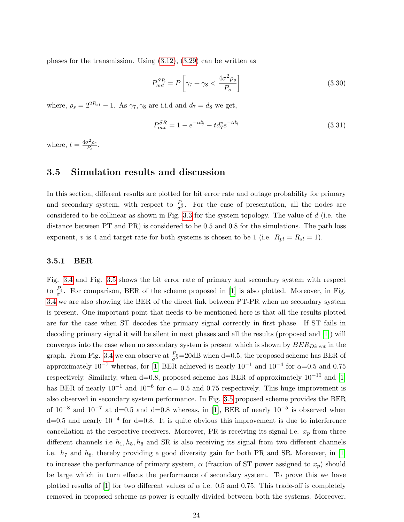phases for the transmission. Using [\(3.12\)](#page-28-2), [\(3.29\)](#page-31-3) can be written as

$$
P_{out}^{SR} = P\left[\gamma_7 + \gamma_8 < \frac{4\sigma^2 \rho_s}{P_s}\right] \tag{3.30}
$$

where,  $\rho_s = 2^{2R_{st}} - 1$ . As  $\gamma_7, \gamma_8$  are i.i.d and  $d_7 = d_8$  we get,

$$
P_{out}^{SR} = 1 - e^{-td_7^v} - td_7^v e^{-td_7^v}
$$
\n(3.31)

where,  $t = \frac{4\sigma^2 \rho_s}{P_s}$  $\frac{\sigma^2 \rho_s}{P_s}$  .

### <span id="page-32-0"></span>3.5 Simulation results and discussion

In this section, different results are plotted for bit error rate and outage probability for primary and secondary system, with respect to  $\frac{P_s}{\sigma^2}$ . For the ease of presentation, all the nodes are considered to be collinear as shown in Fig. [3.3](#page-35-1) for the system topology. The value of d (i.e. the distance between PT and PR) is considered to be 0.5 and 0.8 for the simulations. The path loss exponent, v is 4 and target rate for both systems is chosen to be 1 (i.e.  $R_{pt} = R_{st} = 1$ ).

#### <span id="page-32-1"></span>3.5.1 BER

Fig. [3.4](#page-36-0) and Fig. [3.5](#page-36-1) shows the bit error rate of primary and secondary system with respect to  $\frac{P_s}{\sigma^2}$ . For comparison, BER of the scheme proposed in [\[1\]](#page-53-0) is also plotted. Moreover, in Fig. [3.4](#page-36-0) we are also showing the BER of the direct link between PT-PR when no secondary system is present. One important point that needs to be mentioned here is that all the results plotted are for the case when ST decodes the primary signal correctly in first phase. If ST fails in decoding primary signal it will be silent in next phases and all the results (proposed and [\[1\]](#page-53-0)) will converges into the case when no secondary system is present which is shown by  $BER_{Direct}$  in the graph. From Fig. [3.4](#page-36-0) we can observe at  $\frac{P_s}{\sigma^2}$ =20dB when d=0.5, the proposed scheme has BER of approximately  $10^{-7}$  whereas, for [\[1\]](#page-53-0) BER achieved is nearly  $10^{-1}$  and  $10^{-4}$  for  $\alpha=0.5$  and 0.75 respectively. Similarly, when d=0.8, proposed scheme has BER of approximately  $10^{-10}$  and [\[1\]](#page-53-0) has BER of nearly  $10^{-1}$  and  $10^{-6}$  for  $\alpha = 0.5$  and 0.75 respectively. This huge improvement is also observed in secondary system performance. In Fig. [3.5](#page-36-1) proposed scheme provides the BER of  $10^{-8}$  and  $10^{-7}$  at d=0.5 and d=0.8 whereas, in [\[1\]](#page-53-0), BER of nearly  $10^{-5}$  is observed when d=0.5 and nearly 10−<sup>4</sup> for d=0.8. It is quite obvious this improvement is due to interference cancellation at the respective receivers. Moreover, PR is receiving its signal i.e.  $x_p$  from three different channels i.e  $h_1, h_5, h_6$  and SR is also receiving its signal from two different channels i.e.  $h_7$  and  $h_8$ , thereby providing a good diversity gain for both PR and SR. Moreover, in [\[1\]](#page-53-0) to increase the performance of primary system,  $\alpha$  (fraction of ST power assigned to  $x_p$ ) should be large which in turn effects the performance of secondary system. To prove this we have plotted results of [\[1\]](#page-53-0) for two different values of  $\alpha$  i.e. 0.5 and 0.75. This trade-off is completely removed in proposed scheme as power is equally divided between both the systems. Moreover,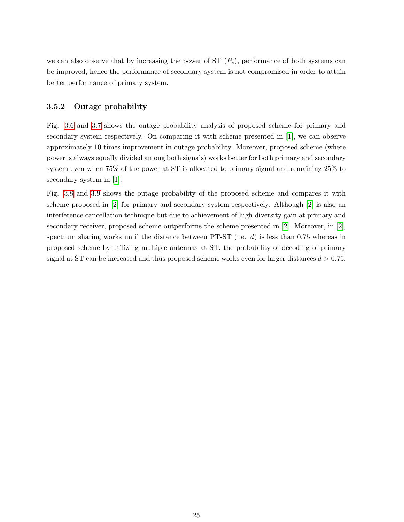we can also observe that by increasing the power of  $ST(P<sub>s</sub>)$ , performance of both systems can be improved, hence the performance of secondary system is not compromised in order to attain better performance of primary system.

#### <span id="page-33-0"></span>3.5.2 Outage probability

Fig. [3.6](#page-37-0) and [3.7](#page-37-1) shows the outage probability analysis of proposed scheme for primary and secondary system respectively. On comparing it with scheme presented in [\[1\]](#page-53-0), we can observe approximately 10 times improvement in outage probability. Moreover, proposed scheme (where power is always equally divided among both signals) works better for both primary and secondary system even when 75% of the power at ST is allocated to primary signal and remaining 25% to secondary system in [\[1\]](#page-53-0).

Fig. [3.8](#page-38-0) and [3.9](#page-38-1) shows the outage probability of the proposed scheme and compares it with scheme proposed in [\[2\]](#page-53-1) for primary and secondary system respectively. Although [\[2\]](#page-53-1) is also an interference cancellation technique but due to achievement of high diversity gain at primary and secondary receiver, proposed scheme outperforms the scheme presented in [\[2\]](#page-53-1). Moreover, in [\[2\]](#page-53-1), spectrum sharing works until the distance between PT-ST (i.e.  $d$ ) is less than 0.75 whereas in proposed scheme by utilizing multiple antennas at ST, the probability of decoding of primary signal at ST can be increased and thus proposed scheme works even for larger distances  $d > 0.75$ .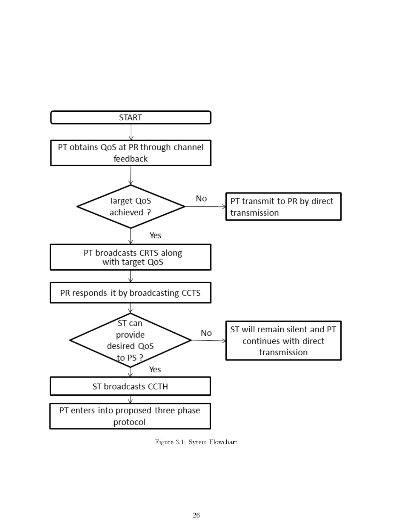<span id="page-34-0"></span>

Figure 3.1: Sytem Flowchart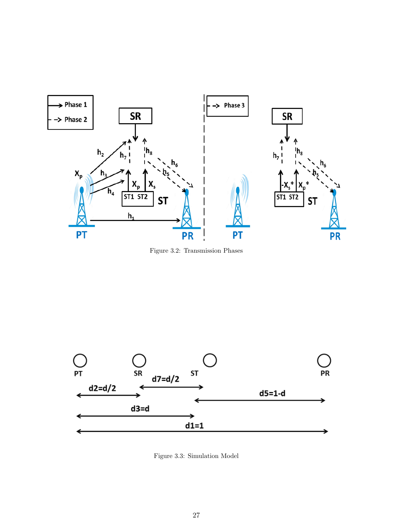<span id="page-35-0"></span>

Figure 3.2: Transmission Phases

<span id="page-35-1"></span>

Figure 3.3: Simulation Model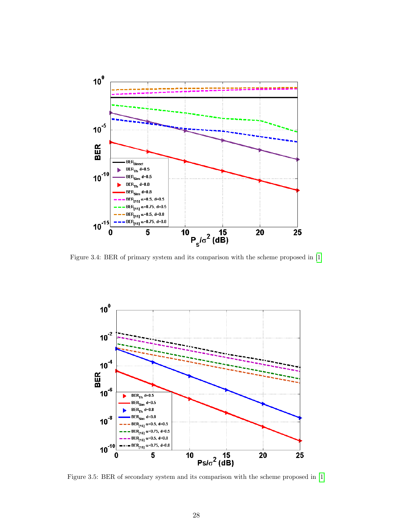<span id="page-36-0"></span>

Figure 3.4: BER of primary system and its comparison with the scheme proposed in [\[1\]](#page-53-0)

<span id="page-36-1"></span>

Figure 3.5: BER of secondary system and its comparison with the scheme proposed in [\[1\]](#page-53-0)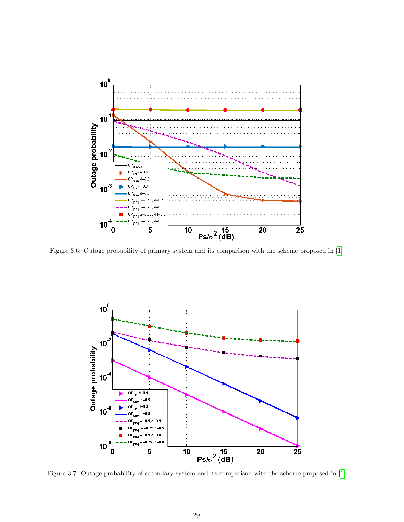<span id="page-37-0"></span>

Figure 3.6: Outage probability of primary system and its comparison with the scheme proposed in [\[1\]](#page-53-0)

<span id="page-37-1"></span>

Figure 3.7: Outage probability of secondary system and its comparison with the scheme proposed in [\[1\]](#page-53-0)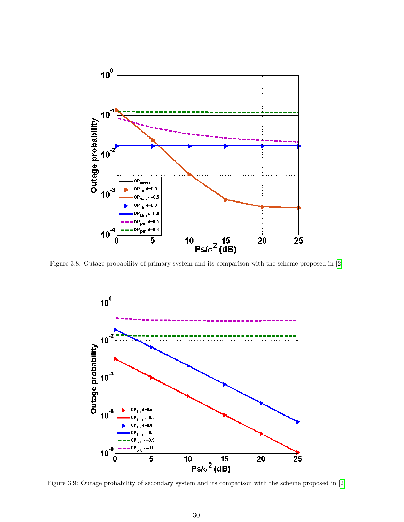<span id="page-38-0"></span>

<span id="page-38-1"></span>Figure 3.8: Outage probability of primary system and its comparison with the scheme proposed in [\[2\]](#page-53-1)



Figure 3.9: Outage probability of secondary system and its comparison with the scheme proposed in [\[2\]](#page-53-1)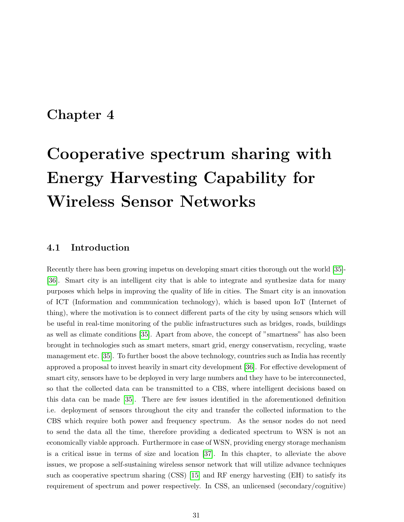# <span id="page-39-0"></span>Chapter 4

# Cooperative spectrum sharing with Energy Harvesting Capability for Wireless Sensor Networks

## <span id="page-39-1"></span>4.1 Introduction

Recently there has been growing impetus on developing smart cities thorough out the world [\[35\]](#page-55-11)- [\[36\]](#page-56-0). Smart city is an intelligent city that is able to integrate and synthesize data for many purposes which helps in improving the quality of life in cities. The Smart city is an innovation of ICT (Information and communication technology), which is based upon IoT (Internet of thing), where the motivation is to connect different parts of the city by using sensors which will be useful in real-time monitoring of the public infrastructures such as bridges, roads, buildings as well as climate conditions [\[35\]](#page-55-11). Apart from above, the concept of "smartness" has also been brought in technologies such as smart meters, smart grid, energy conservatism, recycling, waste management etc. [\[35\]](#page-55-11). To further boost the above technology, countries such as India has recently approved a proposal to invest heavily in smart city development [\[36\]](#page-56-0). For effective development of smart city, sensors have to be deployed in very large numbers and they have to be interconnected, so that the collected data can be transmitted to a CBS, where intelligent decisions based on this data can be made [\[35\]](#page-55-11). There are few issues identified in the aforementioned definition i.e. deployment of sensors throughout the city and transfer the collected information to the CBS which require both power and frequency spectrum. As the sensor nodes do not need to send the data all the time, therefore providing a dedicated spectrum to WSN is not an economically viable approach. Furthermore in case of WSN, providing energy storage mechanism is a critical issue in terms of size and location [\[37\]](#page-56-1). In this chapter, to alleviate the above issues, we propose a self-sustaining wireless sensor network that will utilize advance techniques such as cooperative spectrum sharing (CSS) [\[15\]](#page-54-5) and RF energy harvesting (EH) to satisfy its requirement of spectrum and power respectively. In CSS, an unlicensed (secondary/cognitive)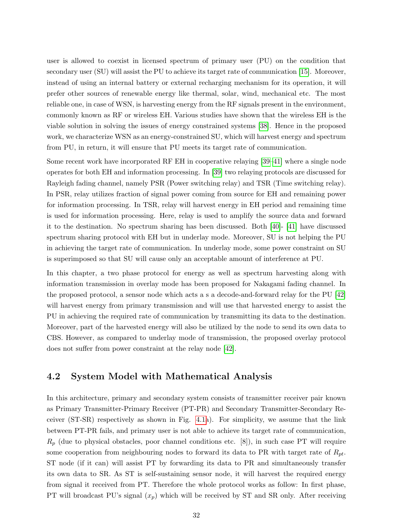user is allowed to coexist in licensed spectrum of primary user (PU) on the condition that secondary user (SU) will assist the PU to achieve its target rate of communication [\[15\]](#page-54-5). Moreover, instead of using an internal battery or external recharging mechanism for its operation, it will prefer other sources of renewable energy like thermal, solar, wind, mechanical etc. The most reliable one, in case of WSN, is harvesting energy from the RF signals present in the environment, commonly known as RF or wireless EH. Various studies have shown that the wireless EH is the viable solution in solving the issues of energy constrained systems [\[38\]](#page-56-2). Hence in the proposed work, we characterize WSN as an energy-constrained SU, which will harvest energy and spectrum from PU, in return, it will ensure that PU meets its target rate of communication.

Some recent work have incorporated RF EH in cooperative relaying [\[39–](#page-56-3)[41\]](#page-56-4) where a single node operates for both EH and information processing. In [\[39\]](#page-56-3) two relaying protocols are discussed for Rayleigh fading channel, namely PSR (Power switching relay) and TSR (Time switching relay). In PSR, relay utilizes fraction of signal power coming from source for EH and remaining power for information processing. In TSR, relay will harvest energy in EH period and remaining time is used for information processing. Here, relay is used to amplify the source data and forward it to the destination. No spectrum sharing has been discussed. Both [\[40\]](#page-56-5)- [\[41\]](#page-56-4) have discussed spectrum sharing protocol with EH but in underlay mode. Moreover, SU is not helping the PU in achieving the target rate of communication. In underlay mode, some power constraint on SU is superimposed so that SU will cause only an acceptable amount of interference at PU.

In this chapter, a two phase protocol for energy as well as spectrum harvesting along with information transmission in overlay mode has been proposed for Nakagami fading channel. In the proposed protocol, a sensor node which acts a s a decode-and-forward relay for the PU [\[42\]](#page-56-6) will harvest energy from primary transmission and will use that harvested energy to assist the PU in achieving the required rate of communication by transmitting its data to the destination. Moreover, part of the harvested energy will also be utilized by the node to send its own data to CBS. However, as compared to underlay mode of transmission, the proposed overlay protocol does not suffer from power constraint at the relay node [\[42\]](#page-56-6).

### <span id="page-40-0"></span>4.2 System Model with Mathematical Analysis

In this architecture, primary and secondary system consists of transmitter receiver pair known as Primary Transmitter-Primary Receiver (PT-PR) and Secondary Transmitter-Secondary Receiver (ST-SR) respectively as shown in Fig. [4.1a](#page-42-0)). For simplicity, we assume that the link between PT-PR fails, and primary user is not able to achieve its target rate of communication,  $R_p$  (due to physical obstacles, poor channel conditions etc. [8]), in such case PT will require some cooperation from neighbouring nodes to forward its data to PR with target rate of  $R_{pt}$ . ST node (if it can) will assist PT by forwarding its data to PR and simultaneously transfer its own data to SR. As ST is self-sustaining sensor node, it will harvest the required energy from signal it received from PT. Therefore the whole protocol works as follow: In first phase, PT will broadcast PU's signal  $(x_p)$  which will be received by ST and SR only. After receiving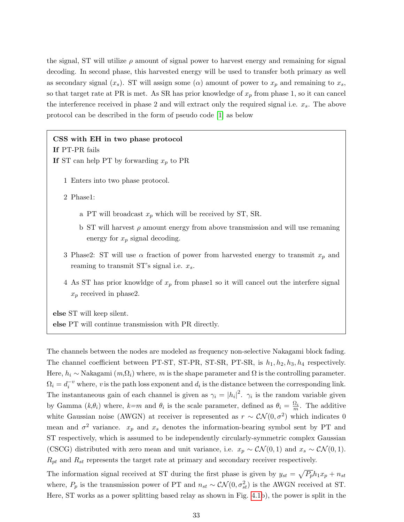the signal, ST will utilize  $\rho$  amount of signal power to harvest energy and remaining for signal decoding. In second phase, this harvested energy will be used to transfer both primary as well as secondary signal  $(x_s)$ . ST will assign some  $(\alpha)$  amount of power to  $x_p$  and remaining to  $x_s$ , so that target rate at PR is met. As SR has prior knowledge of  $x_p$  from phase 1, so it can cancel the interference received in phase 2 and will extract only the required signal i.e.  $x_s$ . The above protocol can be described in the form of pseudo code [\[1\]](#page-53-0) as below

#### CSS with EH in two phase protocol

If PT-PR fails

If ST can help PT by forwarding  $x_p$  to PR

1 Enters into two phase protocol.

2 Phase1:

- a PT will broadcast  $x_p$  which will be received by ST, SR.
- b ST will harvest  $\rho$  amount energy from above transmission and will use remaning energy for  $x_p$  signal decoding.
- 3 Phase2: ST will use  $\alpha$  fraction of power from harvested energy to transmit  $x_p$  and reaming to transmit ST's signal i.e.  $x_s$ .
- 4 As ST has prior knowldge of  $x_p$  from phase1 so it will cancel out the interfere signal  $x_p$  received in phase2.

else ST will keep silent. else PT will continue transmission with PR directly.

The channels between the nodes are modeled as frequency non-selective Nakagami block fading. The channel coefficient between PT-ST, ST-PR, ST-SR, PT-SR, is  $h_1, h_2, h_3, h_4$  respectively. Here,  $h_i \sim$  Nakagami  $(m_i \Omega_i)$  where, m is the shape parameter and  $\Omega$  is the controlling parameter.  $\Omega_i = d_i^{-v}$  where, v is the path loss exponent and  $d_i$  is the distance between the corresponding link. The instantaneous gain of each channel is given as  $\gamma_i = |h_i|^2$ .  $\gamma_i$  is the random variable given by Gamma  $(k, \theta_i)$  where,  $k=m$  and  $\theta_i$  is the scale parameter, defined as  $\theta_i = \frac{\Omega_i}{m}$ . The additive white Gaussian noise (AWGN) at receiver is represented as  $r \sim \mathcal{CN}(0, \sigma^2)$  which indicates 0 mean and  $\sigma^2$  variance.  $x_p$  and  $x_s$  denotes the information-bearing symbol sent by PT and ST respectively, which is assumed to be independently circularly-symmetric complex Gaussian (CSCG) distributed with zero mean and unit variance, i.e.  $x_p \sim \mathcal{CN}(0, 1)$  and  $x_s \sim \mathcal{CN}(0, 1)$ .  $R_{pt}$  and  $R_{st}$  represents the target rate at primary and secondary receiver respectively.

The information signal received at ST during the first phase is given by  $y_{st} = \sqrt{P_p}h_1x_p + n_{st}$ where,  $P_p$  is the transmission power of PT and  $n_{st} \sim \mathcal{CN}(0, \sigma_{st}^2)$  is the AWGN received at ST. Here, ST works as a power splitting based relay as shown in Fig. [4.1b](#page-42-0)), the power is split in the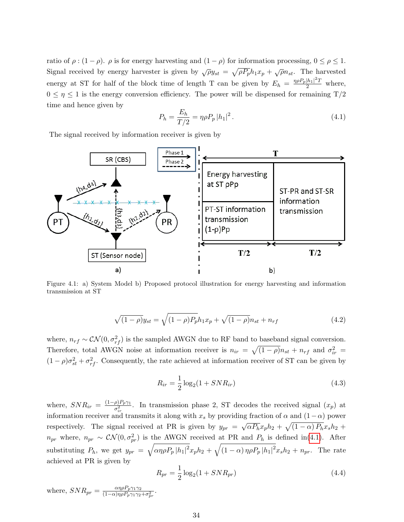ratio of  $\rho : (1 - \rho)$ .  $\rho$  is for energy harvesting and  $(1 - \rho)$  for information processing,  $0 \le \rho \le 1$ . Signal received by energy harvester is given by  $\sqrt{\rho}y_{st} = \sqrt{\rho P_p}h_1x_p + \sqrt{\rho}n_{st}$ . The harvested energy at ST for half of the block time of length T can be given by  $E_h = \frac{\eta \rho P_p |h_1|^2 T}{2}$  where,  $0 \leq \eta \leq 1$  is the energy conversion efficiency. The power will be dispensed for remaining  $T/2$ time and hence given by

<span id="page-42-1"></span>
$$
P_h = \frac{E_h}{T/2} = \eta \rho P_p |h_1|^2.
$$
\n(4.1)

The signal received by information receiver is given by

<span id="page-42-0"></span>

Figure 4.1: a) System Model b) Proposed protocol illustration for energy harvesting and information transmission at ST

$$
\sqrt{(1-\rho)}y_{st} = \sqrt{(1-\rho)P_p}h_1x_p + \sqrt{(1-\rho)}n_{st} + n_{rf}
$$
\n(4.2)

where,  $n_{rf} \sim \mathcal{CN}(0, \sigma_{rf}^2)$  is the sampled AWGN due to RF band to baseband signal conversion. Therefore, total AWGN noise at information receiver is  $n_{ir} = \sqrt{(1-\rho)}n_{st} + n_{rf}$  and  $\sigma_{ir}^2 =$  $(1 - \rho)\sigma_{st}^2 + \sigma_{rf}^2$ . Consequently, the rate achieved at information receiver of ST can be given by

<span id="page-42-2"></span>
$$
R_{ir} = \frac{1}{2}\log_2(1 + SNR_{ir})
$$
\n(4.3)

where,  $SNR_{ir} = \frac{(1-\rho)P_p\gamma_1}{\sigma^2}$  $\frac{\rho_1 P_p \gamma_1}{\sigma_{ir}^2}$ . In transmission phase 2, ST decodes the received signal  $(x_p)$  at information receiver and transmits it along with  $x_s$  by providing fraction of  $\alpha$  and  $(1-\alpha)$  power respectively. The signal received at PR is given by  $y_{pr}$  = √  $\overline{\alpha P_h} x_p h_2 + \sqrt{(1-\alpha) P_h} x_s h_2 +$  $n_{pr}$  where,  $n_{pr} \sim \mathcal{CN}(0, \sigma_{pr}^2)$  is the AWGN received at PR and  $P_h$  is defined in[\(4.1\)](#page-42-1). After substituting  $P_h$ , we get  $y_{pr} = \sqrt{\alpha \eta \rho P_p |h_1|^2} x_p h_2 + \sqrt{(1-\alpha) \eta \rho P_p |h_1|^2} x_s h_2 + n_{pr}$ . The rate achieved at PR is given by

<span id="page-42-3"></span>
$$
R_{pr} = \frac{1}{2}\log_2(1 + SNR_{pr})
$$
\n(4.4)

where,  $SNR_{pr} = \frac{\alpha \eta \rho P_p \gamma_1 \gamma_2}{(1-\alpha) \eta \rho P_p \gamma_1 \gamma_2}$  $\frac{\alpha\eta\rho r_p\gamma_1\gamma_2}{(1-\alpha)\eta\rho P_p\gamma_1\gamma_2+\sigma_{pr}^2}.$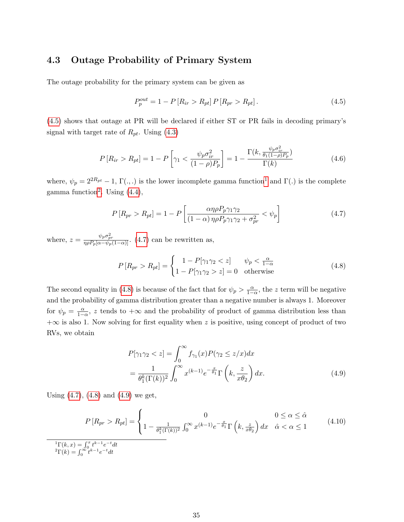# <span id="page-43-0"></span>4.3 Outage Probability of Primary System

The outage probability for the primary system can be given as

<span id="page-43-1"></span>
$$
P_p^{out} = 1 - P[R_{ir} > R_{pt}] P[R_{pr} > R_{pt}].
$$
\n(4.5)

[\(4.5\)](#page-43-1) shows that outage at PR will be declared if either ST or PR fails in decoding primary's signal with target rate of  $R_{pt}$ . Using  $(4.3)$ 

<span id="page-43-7"></span>
$$
P\left[R_{ir} > R_{pt}\right] = 1 - P\left[\gamma_1 < \frac{\psi_p \sigma_{ir}^2}{(1 - \rho)P_p}\right] = 1 - \frac{\Gamma(k, \frac{\psi_p \sigma_{ir}^2}{\theta_1 (1 - \rho)P_p})}{\Gamma(k)}\tag{4.6}
$$

where,  $\psi_p = 2^{2R_{pt}} - 1$  $\psi_p = 2^{2R_{pt}} - 1$ ,  $\Gamma(.,.)$  is the lower incomplete gamma function<sup>1</sup> and  $\Gamma(.)$  is the complete gamma function<sup>[2](#page-43-3)</sup>. Using  $(4.4)$ ,

<span id="page-43-4"></span>
$$
P\left[R_{pr} > R_{pt}\right] = 1 - P\left[\frac{\alpha\eta\rho P_p \gamma_1 \gamma_2}{(1 - \alpha)\eta\rho P_p \gamma_1 \gamma_2 + \sigma_{pr}^2} < \psi_p\right]
$$
(4.7)

where,  $z = \frac{\psi_p \sigma_{pr}^2}{\eta \rho P_p [\alpha - \psi_p(1-\alpha)]}$ . [\(4.7\)](#page-43-4) can be rewritten as,

<span id="page-43-5"></span>
$$
P\left[R_{pr} > R_{pt}\right] = \begin{cases} 1 - P[\gamma_1 \gamma_2 < z] & \psi_p < \frac{\alpha}{1 - \alpha} \\ 1 - P[\gamma_1 \gamma_2 > z] = 0 & \text{otherwise} \end{cases}
$$
(4.8)

The second equality in [\(4.8\)](#page-43-5) is because of the fact that for  $\psi_p > \frac{\alpha}{1-\alpha}$ , the z term will be negative and the probability of gamma distribution greater than a negative number is always 1. Moreover for  $\psi_p = \frac{\alpha}{1-\alpha}$ , z tends to  $+\infty$  and the probability of product of gamma distribution less than  $+\infty$  is also 1. Now solving for first equality when z is positive, using concept of product of two RVs, we obtain

<span id="page-43-6"></span>
$$
P[\gamma_1 \gamma_2 < z] = \int_0^\infty f_{\gamma_1}(x) P(\gamma_2 \le z/x) dx
$$
\n
$$
= \frac{1}{\theta_1^k (\Gamma(k))^2} \int_0^\infty x^{(k-1)} e^{-\frac{x}{\theta_1}} \Gamma\left(k, \frac{z}{x \theta_2}\right) dx. \tag{4.9}
$$

Using  $(4.7)$ ,  $(4.8)$  and  $(4.9)$  we get,

<span id="page-43-8"></span><span id="page-43-3"></span><span id="page-43-2"></span>
$$
P\left[R_{pr} > R_{pt}\right] = \begin{cases} 0 & 0 \le \alpha \le \hat{\alpha} \\ 1 - \frac{1}{\theta_1^k(\Gamma(k))^2} \int_0^\infty x^{(k-1)} e^{-\frac{x}{\theta_1}} \Gamma\left(k, \frac{z}{x\theta_2}\right) dx & \hat{\alpha} < \alpha \le 1 \end{cases} \tag{4.10}
$$
\n
$$
\frac{{}^{1}\Gamma(k, x) = \int_0^x t^{k-1} e^{-t} dt}{{}^{2}\Gamma(k) = \int_0^\infty t^{k-1} e^{-t} dt}
$$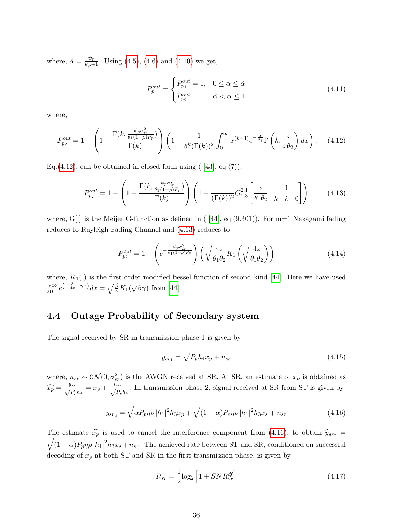where,  $\hat{\alpha} = \frac{\psi_p}{\psi_p + 1}$ . Using [\(4.5\)](#page-43-1), [\(4.6\)](#page-43-7) and [\(4.10\)](#page-43-8) we get,

$$
P_p^{out} = \begin{cases} P_{p_1}^{out} = 1, & 0 \le \alpha \le \hat{\alpha} \\ P_{p_2}^{out}, & \hat{\alpha} < \alpha \le 1 \end{cases}
$$
 (4.11)

where,

<span id="page-44-1"></span>
$$
P_{p_2}^{out} = 1 - \left(1 - \frac{\Gamma(k, \frac{\psi_p \sigma_{ir}^2}{\theta_1 (1 - \rho) P_p})}{\Gamma(k)}\right) \left(1 - \frac{1}{\theta_1^k (\Gamma(k))^2} \int_0^\infty x^{(k-1)} e^{-\frac{x}{\theta_1}} \Gamma\left(k, \frac{z}{x \theta_2}\right) dx\right). \tag{4.12}
$$

Eq.[\(4.12\)](#page-44-1), can be obtained in closed form using  $(43, eq. (7)),$ 

<span id="page-44-2"></span>
$$
P_{p_2}^{out} = 1 - \left(1 - \frac{\Gamma(k, \frac{\psi_p \sigma_{ir}^2}{\theta_1 (1 - \rho) P_p})}{\Gamma(k)}\right) \left(1 - \frac{1}{(\Gamma(k))^2} G_{1,3}^{2,1} \left[\frac{z}{\theta_1 \theta_2} \Big|_{k} \begin{array}{c} 1 \\ k \end{array} \right] \right) \tag{4.13}
$$

where,  $G$ [.] is the Meijer G-function as defined in  $(44]$ , eq. $(9.301)$ ). For m=1 Nakagami fading reduces to Rayleigh Fading Channel and [\(4.13\)](#page-44-2) reduces to

$$
P_{p_2}^{out} = 1 - \left(e^{-\frac{\psi_p \sigma_{tr}^2}{\theta_1 (1 - \rho) P_p}}\right) \left(\sqrt{\frac{4z}{\theta_1 \theta_2}} K_1 \left(\sqrt{\frac{4z}{\theta_1 \theta_2}}\right)\right) \tag{4.14}
$$

where,  $K_1(.)$  is the first order modified bessel function of second kind [\[44\]](#page-56-8). Here we have used  $\int_0^\infty e^{-\frac{\beta}{4x}-\gamma x}dx=\sqrt{\frac{\beta}{\gamma}}K_1(x)$ √  $\overline{\beta\gamma}$ ) from [\[44\]](#page-56-8).

# <span id="page-44-0"></span>4.4 Outage Probability of Secondary system

The signal received by SR in transmission phase 1 is given by

<span id="page-44-4"></span>
$$
y_{sr_1} = \sqrt{P_p}h_4x_p + n_{sr}
$$
\n
$$
\tag{4.15}
$$

where,  $n_{sr} \sim \mathcal{CN}(0, \sigma_{sr}^2)$  is the AWGN received at SR. At SR, an estimate of  $x_p$  is obtained as  $\widehat{x_p} = \frac{y_{sr_1}}{\sqrt{P_p}}$  $\frac{q_{sr_1}}{P_p h_4} = x_p + \frac{n_{sr_1}}{\sqrt{P_p}h_4}$  $\frac{S_{s_{r_1}}}{P_p h_4}$ . In transmission phase 2, signal received at SR from ST is given by

<span id="page-44-3"></span>
$$
y_{sr_2} = \sqrt{\alpha P_p \eta \rho |h_1|^2} h_3 x_p + \sqrt{(1-\alpha) P_p \eta \rho |h_1|^2} h_3 x_s + n_{sr}
$$
\n(4.16)

The estimate  $\widehat{x_p}$  is used to cancel the interference component from [\(4.16\)](#page-44-3), to obtain  $\widehat{y}_{sr_2}$  =  $\sqrt{(1-\alpha)P_p\eta\rho\,|h_1|^2}h_3x_s+n_{sr}$ . The achieved rate between ST and SR, conditioned on successful decoding of  $x_p$  at both ST and SR in the first transmission phase, is given by

<span id="page-44-5"></span>
$$
R_{sr} = \frac{1}{2}\log_2\left[1 + SNR_{sr}^{df}\right] \tag{4.17}
$$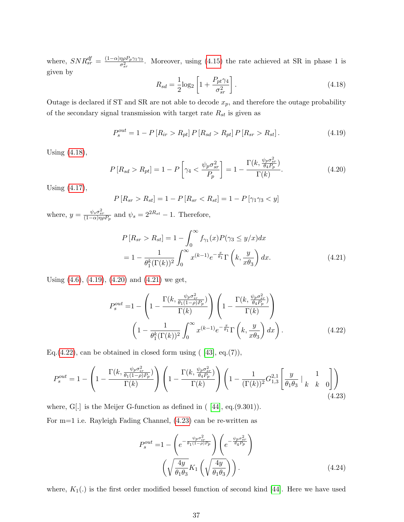where,  $SNR_{sr}^{df} = \frac{(1-\alpha)\eta \rho P_p \gamma_1 \gamma_3}{\sigma^2}$  $\frac{\eta \rho F_p \gamma_1 \gamma_3}{\sigma_{sr}^2}$ . Moreover, using [\(4.15\)](#page-44-4) the rate achieved at SR in phase 1 is given by

<span id="page-45-0"></span>
$$
R_{sd} = \frac{1}{2}\log_2\left[1 + \frac{P_{pt}\gamma_4}{\sigma_{sr}^2}\right].
$$
 (4.18)

Outage is declared if ST and SR are not able to decode  $x_p$ , and therefore the outage probability of the secondary signal transmission with target rate  $R_{st}$  is given as

<span id="page-45-1"></span>
$$
P_s^{out} = 1 - P[R_{ir} > R_{pt}] P[R_{sd} > R_{pt}] P[R_{sr} > R_{st}].
$$
\n(4.19)

Using [\(4.18\)](#page-45-0),

<span id="page-45-2"></span>
$$
P\left[R_{sd} > R_{pt}\right] = 1 - P\left[\gamma_4 < \frac{\psi_p \sigma_{sr}^2}{P_p}\right] = 1 - \frac{\Gamma(k, \frac{\psi_p \sigma_{sr}^2}{\theta_4 P_p})}{\Gamma(k)}.\tag{4.20}
$$

Using [\(4.17\)](#page-44-5),

$$
P[R_{sr} > R_{st}] = 1 - P[R_{sr} < R_{st}] = 1 - P[\gamma_1 \gamma_3 < y]
$$

where,  $y = \frac{\psi_s \sigma_{sr}^2}{(1-\alpha)\eta \rho P_p}$  and  $\psi_s = 2^{2R_{st}} - 1$ . Therefore,

<span id="page-45-3"></span>
$$
P\left[R_{sr} > R_{st}\right] = 1 - \int_0^\infty f_{\gamma_1}(x) P(\gamma_3 \le y/x) dx
$$
\n
$$
= 1 - \frac{1}{\theta_1^k (\Gamma(k))^2} \int_0^\infty x^{(k-1)} e^{-\frac{x}{\theta_1}} \Gamma\left(k, \frac{y}{x\theta_3}\right) dx. \tag{4.21}
$$

Using [\(4.6\)](#page-43-7), [\(4.19\)](#page-45-1), [\(4.20\)](#page-45-2) and [\(4.21\)](#page-45-3) we get,

<span id="page-45-4"></span>
$$
P_s^{out} = 1 - \left(1 - \frac{\Gamma(k, \frac{\psi_p \sigma_{ir}^2}{\theta_1 (1 - \rho) P_p})}{\Gamma(k)}\right) \left(1 - \frac{\Gamma(k, \frac{\psi_p \sigma_{sr}^2}{\theta_4 P_p})}{\Gamma(k)}\right)
$$

$$
\left(1 - \frac{1}{\theta_1^k (\Gamma(k))^2} \int_0^\infty x^{(k-1)} e^{-\frac{x}{\theta_1}} \Gamma\left(k, \frac{y}{x\theta_3}\right) dx\right).
$$
(4.22)

Eq.[\(4.22\)](#page-45-4), can be obtained in closed form using  $([43], eq.(7)),$ 

<span id="page-45-5"></span>
$$
P_s^{out} = 1 - \left(1 - \frac{\Gamma(k, \frac{\psi_p \sigma_{ir}^2}{\theta_1 (1 - \rho) P_p})}{\Gamma(k)}\right) \left(1 - \frac{\Gamma(k, \frac{\psi_p \sigma_{sr}^2}{\theta_4 P_p})}{\Gamma(k)}\right) \left(1 - \frac{1}{(\Gamma(k))^2} G_{1,3}^{2,1} \left[\frac{y}{\theta_1 \theta_3} \Big|_{k} \begin{array}{c} 1 \\ k \end{array} \right] \right) \tag{4.23}
$$

where,  $G$ [.] is the Meijer G-function as defined in  $(44]$ , eq. $(9.301)$ . For m=1 i.e. Rayleigh Fading Channel, [\(4.23\)](#page-45-5) can be re-written as

$$
P_s^{out} = 1 - \left(e^{-\frac{\psi_p \sigma_{ir}^2}{\theta_1(1-\rho)P_p}}\right) \left(e^{-\frac{\psi_p \sigma_{sr}^2}{\theta_4 P_p}}\right)
$$

$$
\left(\sqrt{\frac{4y}{\theta_1 \theta_3}} K_1 \left(\sqrt{\frac{4y}{\theta_1 \theta_3}}\right)\right).
$$
(4.24)

where,  $K_1(.)$  is the first order modified bessel function of second kind [\[44\]](#page-56-8). Here we have used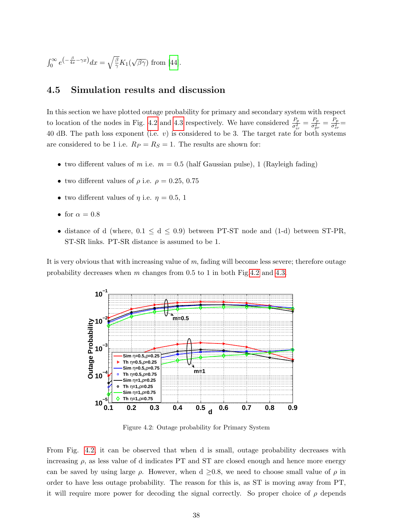$$
\int_0^\infty e^{-\frac{\beta}{4x} - \gamma x} dx = \sqrt{\frac{\beta}{\gamma}} K_1(\sqrt{\beta \gamma}) \text{ from [44].}
$$

## <span id="page-46-0"></span>4.5 Simulation results and discussion

In this section we have plotted outage probability for primary and secondary system with respect to location of the nodes in Fig. [4.2](#page-46-1) and [4.3](#page-47-0) respectively. We have considered  $\frac{P_p}{\sigma_{ir}^2} = \frac{P_p}{\sigma_{pr}^2}$  $\frac{P_p}{\sigma_{pr}^2} = \frac{P_p}{\sigma_{sr}^2}$  $\frac{r_p}{\sigma_{sr}^2} =$ 40 dB. The path loss exponent (i.e.  $v$ ) is considered to be 3. The target rate for both systems are considered to be 1 i.e.  $R_P = R_S = 1$ . The results are shown for:

- two different values of m i.e.  $m = 0.5$  (half Gaussian pulse), 1 (Rayleigh fading)
- two different values of  $\rho$  i.e.  $\rho = 0.25, 0.75$
- two different values of  $\eta$  i.e.  $\eta = 0.5, 1$
- for  $\alpha = 0.8$
- distance of d (where,  $0.1 \le d \le 0.9$ ) between PT-ST node and (1-d) between ST-PR, ST-SR links. PT-SR distance is assumed to be 1.

<span id="page-46-1"></span>It is very obvious that with increasing value of  $m$ , fading will become less severe; therefore outage probability decreases when m changes from 0.5 to 1 in both Fig[.4.2](#page-46-1) and [4.3.](#page-47-0)



Figure 4.2: Outage probability for Primary System

From Fig. [4.2,](#page-46-1) it can be observed that when d is small, outage probability decreases with increasing  $\rho$ , as less value of d indicates PT and ST are closed enough and hence more energy can be saved by using large  $\rho$ . However, when d  $\geq 0.8$ , we need to choose small value of  $\rho$  in order to have less outage probability. The reason for this is, as ST is moving away from PT, it will require more power for decoding the signal correctly. So proper choice of  $\rho$  depends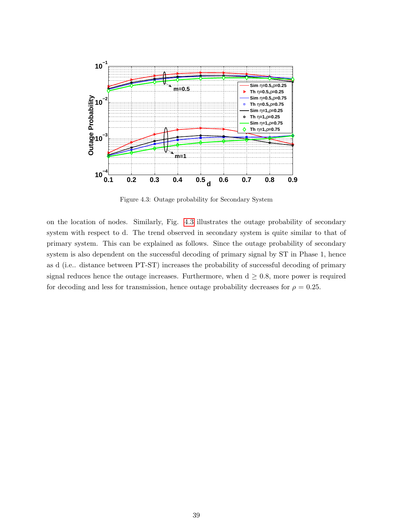<span id="page-47-0"></span>

Figure 4.3: Outage probability for Secondary System

on the location of nodes. Similarly, Fig. [4.3](#page-47-0) illustrates the outage probability of secondary system with respect to d. The trend observed in secondary system is quite similar to that of primary system. This can be explained as follows. Since the outage probability of secondary system is also dependent on the successful decoding of primary signal by ST in Phase 1, hence as d (i.e.. distance between PT-ST) increases the probability of successful decoding of primary signal reduces hence the outage increases. Furthermore, when  $d \geq 0.8$ , more power is required for decoding and less for transmission, hence outage probability decreases for  $\rho = 0.25$ .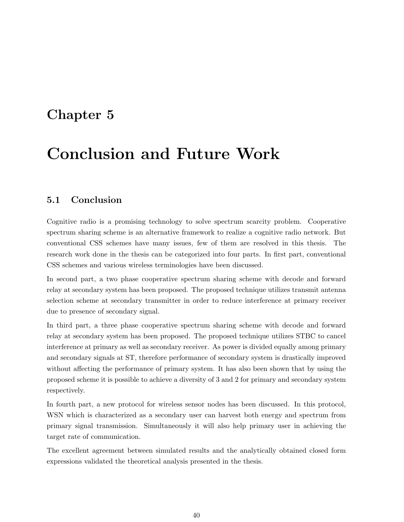# <span id="page-48-0"></span>Chapter 5

# Conclusion and Future Work

## <span id="page-48-1"></span>5.1 Conclusion

Cognitive radio is a promising technology to solve spectrum scarcity problem. Cooperative spectrum sharing scheme is an alternative framework to realize a cognitive radio network. But conventional CSS schemes have many issues, few of them are resolved in this thesis. The research work done in the thesis can be categorized into four parts. In first part, conventional CSS schemes and various wireless terminologies have been discussed.

In second part, a two phase cooperative spectrum sharing scheme with decode and forward relay at secondary system has been proposed. The proposed technique utilizes transmit antenna selection scheme at secondary transmitter in order to reduce interference at primary receiver due to presence of secondary signal.

In third part, a three phase cooperative spectrum sharing scheme with decode and forward relay at secondary system has been proposed. The proposed technique utilizes STBC to cancel interference at primary as well as secondary receiver. As power is divided equally among primary and secondary signals at ST, therefore performance of secondary system is drastically improved without affecting the performance of primary system. It has also been shown that by using the proposed scheme it is possible to achieve a diversity of 3 and 2 for primary and secondary system respectively.

In fourth part, a new protocol for wireless sensor nodes has been discussed. In this protocol, WSN which is characterized as a secondary user can harvest both energy and spectrum from primary signal transmission. Simultaneously it will also help primary user in achieving the target rate of communication.

The excellent agreement between simulated results and the analytically obtained closed form expressions validated the theoretical analysis presented in the thesis.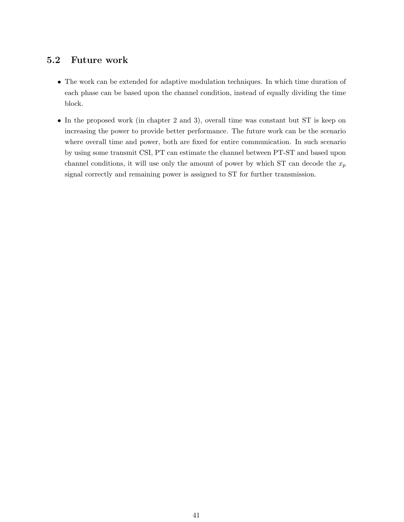# <span id="page-49-0"></span>5.2 Future work

- The work can be extended for adaptive modulation techniques. In which time duration of each phase can be based upon the channel condition, instead of equally dividing the time block.
- In the proposed work (in chapter 2 and 3), overall time was constant but ST is keep on increasing the power to provide better performance. The future work can be the scenario where overall time and power, both are fixed for entire communication. In such scenario by using some transmit CSI, PT can estimate the channel between PT-ST and based upon channel conditions, it will use only the amount of power by which ST can decode the  $x_p$ signal correctly and remaining power is assigned to ST for further transmission.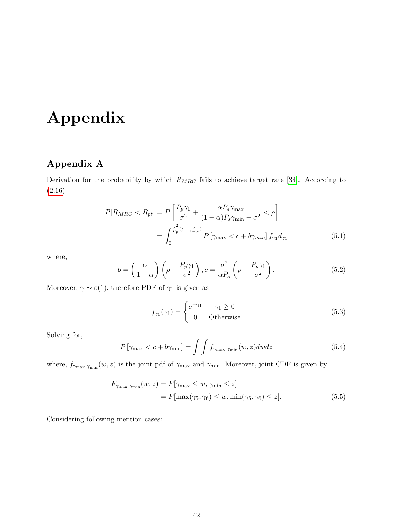# Appendix

# Appendix A

Derivation for the probability by which  $R_{MRC}$  fails to achieve target rate [\[34\]](#page-55-10). According to [\(2.16\)](#page-20-3)

$$
P[R_{MRC} < R_{pt}] = P\left[\frac{P_p \gamma_1}{\sigma^2} + \frac{\alpha P_s \gamma_{\text{max}}}{(1 - \alpha) P_s \gamma_{\text{min}} + \sigma^2} < \rho\right]
$$
\n
$$
= \int_0^{\frac{\sigma^2}{P_p} (\rho - \frac{\alpha}{1 - \alpha})} P\left[\gamma_{\text{max}} < c + b \gamma_{\text{min}}\right] f_{\gamma_1} d_{\gamma_1} \tag{5.1}
$$

where,

<span id="page-50-3"></span>
$$
b = \left(\frac{\alpha}{1-\alpha}\right) \left(\rho - \frac{P_p \gamma_1}{\sigma^2}\right), c = \frac{\sigma^2}{\alpha P_s} \left(\rho - \frac{P_p \gamma_1}{\sigma^2}\right). \tag{5.2}
$$

Moreover,  $\gamma \sim \varepsilon(1)$ , therefore PDF of  $\gamma_1$  is given as

<span id="page-50-4"></span><span id="page-50-2"></span><span id="page-50-0"></span>
$$
f_{\gamma_1}(\gamma_1) = \begin{cases} e^{-\gamma_1} & \gamma_1 \ge 0\\ 0 & \text{Otherwise} \end{cases}
$$
 (5.3)

Solving for,

<span id="page-50-1"></span>
$$
P\left[\gamma_{\max} < c + b\gamma_{\min}\right] = \int \int f_{\gamma_{\max},\gamma_{\min}}(w,z) \, dw \, dz \tag{5.4}
$$

where,  $f_{\gamma_{\text{max}},\gamma_{\text{min}}}(w, z)$  is the joint pdf of  $\gamma_{\text{max}}$  and  $\gamma_{\text{min}}$ . Moreover, joint CDF is given by

$$
F_{\gamma_{\max},\gamma_{\min}}(w,z) = P[\gamma_{\max} \le w, \gamma_{\min} \le z]
$$
  
= 
$$
P[\max(\gamma_5, \gamma_6) \le w, \min(\gamma_5, \gamma_6) \le z].
$$
 (5.5)

Considering following mention cases: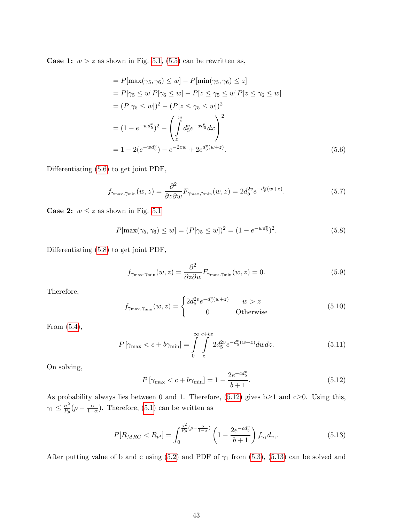**Case 1:**  $w > z$  as shown in Fig. [5.1,](#page-52-0) [\(5.5\)](#page-50-0) can be rewritten as,

$$
= P[\max(\gamma_5, \gamma_6) \le w] - P[\min(\gamma_5, \gamma_6) \le z]
$$
  
\n
$$
= P[\gamma_5 \le w]P[\gamma_6 \le w] - P[z \le \gamma_5 \le w]P[z \le \gamma_6 \le w]
$$
  
\n
$$
= (P[\gamma_5 \le w])^2 - (P[z \le \gamma_5 \le w])^2
$$
  
\n
$$
= (1 - e^{-wd_5^v})^2 - \left(\int_z^w d_5^v e^{-xd_5^v} dx\right)^2
$$
  
\n
$$
= 1 - 2(e^{-wd_5^v}) - e^{-2zw} + 2e^{d_5^v(w+z)}.
$$
\n(5.6)

Differentiating [\(5.6\)](#page-51-0) to get joint PDF,

<span id="page-51-0"></span>
$$
f_{\gamma_{\max},\gamma_{\min}}(w,z) = \frac{\partial^2}{\partial z \partial w} F_{\gamma_{\max},\gamma_{\min}}(w,z) = 2d_5^{2v} e^{-d_5^v(w+z)}.
$$
 (5.7)

**Case 2:**  $w \leq z$  as shown in Fig. [5.1](#page-52-0)

<span id="page-51-1"></span>
$$
P[\max(\gamma_5, \gamma_6) \le w] = (P[\gamma_5 \le w])^2 = (1 - e^{-wd_5^v})^2. \tag{5.8}
$$

Differentiating [\(5.8\)](#page-51-1) to get joint PDF,

$$
f_{\gamma_{\max},\gamma_{\min}}(w,z) = \frac{\partial^2}{\partial z \partial w} F_{\gamma_{\max},\gamma_{\min}}(w,z) = 0.
$$
 (5.9)

Therefore,

$$
f_{\gamma_{\max},\gamma_{\min}}(w,z) = \begin{cases} 2d_5^{2v}e^{-d_5^v(w+z)} & w > z\\ 0 & \text{Otherwise} \end{cases}
$$
(5.10)

From [\(5.4\)](#page-50-1),

$$
P\left[\gamma_{\max} < c + b\gamma_{\min}\right] = \int\limits_{0}^{\infty} \int\limits_{z}^{c+bz} 2d_5^{2v} e^{-d_5^v(w+z)} dw dz. \tag{5.11}
$$

On solving,

<span id="page-51-2"></span>
$$
P\left[\gamma_{\max} < c + b\gamma_{\min}\right] = 1 - \frac{2e^{-cd_5^v}}{b+1}.\tag{5.12}
$$

As probability always lies between 0 and 1. Therefore, [\(5.12\)](#page-51-2) gives  $b \ge 1$  and  $c \ge 0$ . Using this,  $\gamma_1 \leq \frac{\sigma^2}{P_n}$  $\frac{\sigma^2}{P_p}(\rho - \frac{\alpha}{1-\alpha})$ . Therefore, [\(5.1\)](#page-50-2) can be written as

<span id="page-51-3"></span>
$$
P[R_{MRC} < R_{pt}] = \int_0^{\frac{\sigma^2}{P_p}(\rho - \frac{\alpha}{1 - \alpha})} \left(1 - \frac{2e^{-cd_5^v}}{b + 1}\right) f_{\gamma_1} d_{\gamma_1}.\tag{5.13}
$$

After putting value of b and c using [\(5.2\)](#page-50-3) and PDF of  $\gamma_1$  from [\(5.3\)](#page-50-4), [\(5.13\)](#page-51-3) can be solved and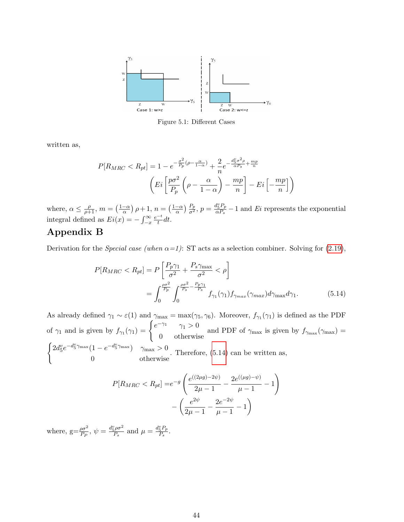<span id="page-52-0"></span>

Figure 5.1: Different Cases

written as,

$$
P[R_{MRC} < R_{pt}] = 1 - e^{-\frac{\sigma^2}{P_p}(\rho - \frac{\alpha}{1 - \alpha})} + \frac{2}{n} e^{-\frac{d_S^v \sigma^2 \rho}{\alpha P_s} + \frac{mp}{n}}
$$
\n
$$
\left( Ei \left[ \frac{p\sigma^2}{P_p} \left( \rho - \frac{\alpha}{1 - \alpha} \right) - \frac{mp}{n} \right] - Ei \left[ -\frac{mp}{n} \right] \right)
$$

where,  $\alpha \leq \frac{\rho}{\rho+1}$ ,  $m = \left(\frac{1-\alpha}{\alpha}\right)$  $\frac{-\alpha}{\alpha}$ )  $\rho + 1$ ,  $n = \left(\frac{1-\alpha}{\alpha}\right)$  $\frac{(-\alpha)}{\alpha}$ )  $\frac{P_p}{\sigma^2}$ ,  $p = \frac{d_5^v P_p}{\alpha P_s}$  $\frac{a_5^2 P_p}{\alpha P_s} - 1$  and Ei represents the exponential integral defined as  $Ei(x) = -\int_{-x}^{\infty}$  $e^{-t}$  $\frac{1}{t}dt$ .

## Appendix B

Derivation for the *Special case (when*  $\alpha = 1$ ): ST acts as a selection combiner. Solving for [\(2.19\)](#page-20-4),

$$
P[R_{MRC} < R_{pt}] = P\left[\frac{P_p\gamma_1}{\sigma^2} + \frac{P_s\gamma_{\text{max}}}{\sigma^2} < \rho\right]
$$
\n
$$
= \int_0^{\frac{\rho\sigma^2}{P_p}} \int_0^{\frac{\rho\sigma^2}{P_s} - \frac{P_p\gamma_1}{P_s}} f_{\gamma_1}(\gamma_1) f_{\gamma_{max}}(\gamma_{max}) d\gamma_{\text{max}} d\gamma_1. \tag{5.14}
$$

As already defined  $\gamma_1 \sim \varepsilon(1)$  and  $\gamma_{\text{max}} = \max(\gamma_5, \gamma_6)$ . Moreover,  $f_{\gamma_1}(\gamma_1)$  is defined as the PDF of  $\gamma_1$  and is given by  $f_{\gamma_1}(\gamma_1) = \begin{cases} e^{-\gamma_1} & \gamma_1 > 0 \\ 0 & \text{otherwise} \end{cases}$ 0 otherwise and PDF of  $\gamma_{\text{max}}$  is given by  $f_{\gamma_{\text{max}}}(\gamma_{\text{max}}) =$  $\int 2d_5^v e^{-d_5^v \gamma_{\text{max}}} (1 - e^{-d_5^v \gamma_{\text{max}}})$   $\gamma_{\text{max}} > 0$ 0 otherwise . Therefore, [\(5.14\)](#page-52-1) can be written as,

<span id="page-52-1"></span>
$$
P[R_{MRC} < R_{pt}] = e^{-g} \left( \frac{e^{((2\mu g) - 2\psi)}}{2\mu - 1} - \frac{2e^{((\mu g) - \psi)}}{\mu - 1} - 1 \right) - \left( \frac{e^{2\psi}}{2\mu - 1} - \frac{2e^{-2\psi}}{\mu - 1} - 1 \right)
$$

where,  $g = \frac{\rho \sigma^2}{P_P}$ ,  $\psi = \frac{d_S^v \rho \sigma^2}{P_s}$  $\frac{d_S^2 \rho \sigma^2}{P_s}$  and  $\mu = \frac{d_S^v P_p}{P_s}$  $\frac{5Fp}{P_s}$ .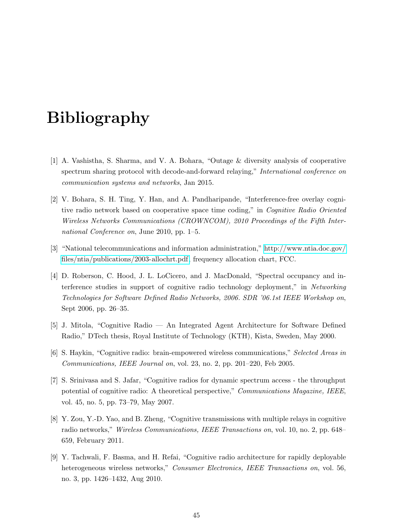# Bibliography

- <span id="page-53-0"></span>[1] A. Vashistha, S. Sharma, and V. A. Bohara, "Outage & diversity analysis of cooperative spectrum sharing protocol with decode-and-forward relaying," International conference on communication systems and networks, Jan 2015.
- <span id="page-53-1"></span>[2] V. Bohara, S. H. Ting, Y. Han, and A. Pandharipande, "Interference-free overlay cognitive radio network based on cooperative space time coding," in Cognitive Radio Oriented Wireless Networks Communications (CROWNCOM), 2010 Proceedings of the Fifth International Conference on, June 2010, pp. 1–5.
- <span id="page-53-2"></span>[3] "National telecommunications and information administration," [http://www.ntia.doc.gov/](http://www.ntia.doc.gov/files/ntia/publications/2003-allochrt.pdf) [files/ntia/publications/2003-allochrt.pdf,](http://www.ntia.doc.gov/files/ntia/publications/2003-allochrt.pdf) frequency allocation chart, FCC.
- <span id="page-53-3"></span>[4] D. Roberson, C. Hood, J. L. LoCicero, and J. MacDonald, "Spectral occupancy and interference studies in support of cognitive radio technology deployment," in Networking Technologies for Software Defined Radio Networks, 2006. SDR '06.1st IEEE Workshop on, Sept 2006, pp. 26–35.
- <span id="page-53-4"></span>[5] J. Mitola, "Cognitive Radio — An Integrated Agent Architecture for Software Defined Radio," DTech thesis, Royal Institute of Technology (KTH), Kista, Sweden, May 2000.
- [6] S. Haykin, "Cognitive radio: brain-empowered wireless communications," Selected Areas in Communications, IEEE Journal on, vol. 23, no. 2, pp. 201–220, Feb 2005.
- <span id="page-53-5"></span>[7] S. Srinivasa and S. Jafar, "Cognitive radios for dynamic spectrum access - the throughput potential of cognitive radio: A theoretical perspective," Communications Magazine, IEEE, vol. 45, no. 5, pp. 73–79, May 2007.
- <span id="page-53-6"></span>[8] Y. Zou, Y.-D. Yao, and B. Zheng, "Cognitive transmissions with multiple relays in cognitive radio networks," Wireless Communications, IEEE Transactions on, vol. 10, no. 2, pp. 648– 659, February 2011.
- <span id="page-53-7"></span>[9] Y. Tachwali, F. Basma, and H. Refai, "Cognitive radio architecture for rapidly deployable heterogeneous wireless networks," Consumer Electronics, IEEE Transactions on, vol. 56, no. 3, pp. 1426–1432, Aug 2010.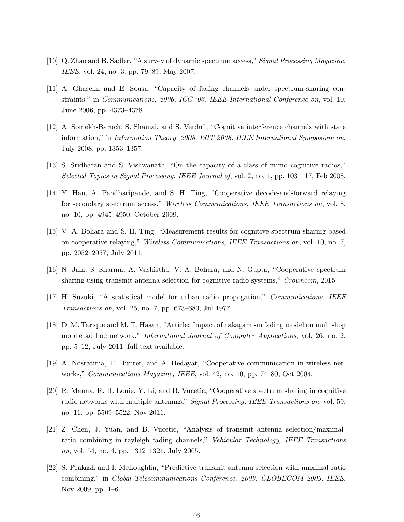- <span id="page-54-0"></span>[10] Q. Zhao and B. Sadler, "A survey of dynamic spectrum access," Signal Processing Magazine, IEEE, vol. 24, no. 3, pp. 79–89, May 2007.
- <span id="page-54-1"></span>[11] A. Ghasemi and E. Sousa, "Capacity of fading channels under spectrum-sharing constraints," in Communications, 2006. ICC '06. IEEE International Conference on, vol. 10, June 2006, pp. 4373–4378.
- <span id="page-54-2"></span>[12] A. Somekh-Baruch, S. Shamai, and S. Verdu?, "Cognitive interference channels with state information," in Information Theory, 2008. ISIT 2008. IEEE International Symposium on, July 2008, pp. 1353–1357.
- <span id="page-54-3"></span>[13] S. Sridharan and S. Vishwanath, "On the capacity of a class of mimo cognitive radios," Selected Topics in Signal Processing, IEEE Journal of, vol. 2, no. 1, pp. 103–117, Feb 2008.
- <span id="page-54-4"></span>[14] Y. Han, A. Pandharipande, and S. H. Ting, "Cooperative decode-and-forward relaying for secondary spectrum access," Wireless Communications, IEEE Transactions on, vol. 8, no. 10, pp. 4945–4950, October 2009.
- <span id="page-54-5"></span>[15] V. A. Bohara and S. H. Ting, "Measurement results for cognitive spectrum sharing based on cooperative relaying," Wireless Communications, IEEE Transactions on, vol. 10, no. 7, pp. 2052–2057, July 2011.
- <span id="page-54-6"></span>[16] N. Jain, S. Sharma, A. Vashistha, V. A. Bohara, and N. Gupta, "Cooperative spectrum sharing using transmit antenna selection for cognitive radio systems," Crowncom, 2015.
- <span id="page-54-7"></span>[17] H. Suzuki, "A statistical model for urban radio propogation," Communications, IEEE Transactions on, vol. 25, no. 7, pp. 673–680, Jul 1977.
- <span id="page-54-8"></span>[18] D. M. Tarique and M. T. Hasan, "Article: Impact of nakagami-m fading model on multi-hop mobile ad hoc network," *International Journal of Computer Applications*, vol. 26, no. 2, pp. 5–12, July 2011, full text available.
- <span id="page-54-9"></span>[19] A. Nosratinia, T. Hunter, and A. Hedayat, "Cooperative communication in wireless networks," Communications Magazine, IEEE, vol. 42, no. 10, pp. 74–80, Oct 2004.
- <span id="page-54-10"></span>[20] R. Manna, R. H. Louie, Y. Li, and B. Vucetic, "Cooperative spectrum sharing in cognitive radio networks with multiple antennas," Signal Processing, IEEE Transactions on, vol. 59, no. 11, pp. 5509–5522, Nov 2011.
- <span id="page-54-11"></span>[21] Z. Chen, J. Yuan, and B. Vucetic, "Analysis of transmit antenna selection/maximalratio combining in rayleigh fading channels," Vehicular Technology, IEEE Transactions on, vol. 54, no. 4, pp. 1312–1321, July 2005.
- <span id="page-54-12"></span>[22] S. Prakash and I. McLoughlin, "Predictive transmit antenna selection with maximal ratio combining," in Global Telecommunications Conference, 2009. GLOBECOM 2009. IEEE, Nov 2009, pp. 1–6.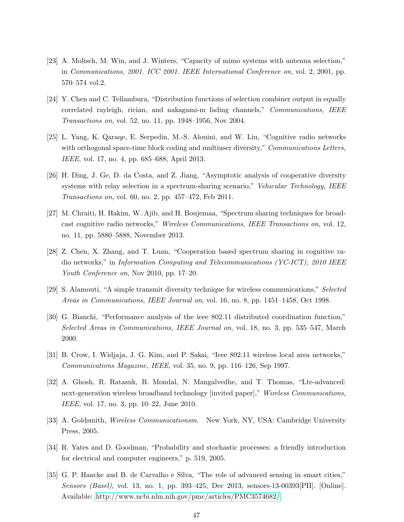- <span id="page-55-0"></span>[23] A. Molisch, M. Win, and J. Winters, "Capacity of mimo systems with antenna selection," in Communications, 2001. ICC 2001. IEEE International Conference on, vol. 2, 2001, pp. 570–574 vol.2.
- <span id="page-55-1"></span>[24] Y. Chen and C. Tellambura, "Distribution functions of selection combiner output in equally correlated rayleigh, rician, and nakagami-m fading channels," Communications, IEEE Transactions on, vol. 52, no. 11, pp. 1948–1956, Nov 2004.
- <span id="page-55-2"></span>[25] L. Yang, K. Qaraqe, E. Serpedin, M.-S. Alouini, and W. Liu, "Cognitive radio networks with orthogonal space-time block coding and multiuser diversity," *Communications Letters*, IEEE, vol. 17, no. 4, pp. 685–688, April 2013.
- <span id="page-55-3"></span>[26] H. Ding, J. Ge, D. da Costa, and Z. Jiang, "Asymptotic analysis of cooperative diversity systems with relay selection in a spectrum-sharing scenario," Vehicular Technology, IEEE Transactions on, vol. 60, no. 2, pp. 457–472, Feb 2011.
- <span id="page-55-4"></span>[27] M. Chraiti, H. Hakim, W. Ajib, and H. Boujemaa, "Spectrum sharing techniques for broadcast cognitive radio networks," Wireless Communications, IEEE Transactions on, vol. 12, no. 11, pp. 5880–5888, November 2013.
- <span id="page-55-5"></span>[28] Z. Chen, X. Zhang, and T. Luan, "Cooperation based spectrum sharing in cognitive radio networks," in Information Computing and Telecommunications (YC-ICT), 2010 IEEE Youth Conference on, Nov 2010, pp. 17–20.
- <span id="page-55-6"></span>[29] S. Alamouti, "A simple transmit diversity technique for wireless communications," Selected Areas in Communications, IEEE Journal on, vol. 16, no. 8, pp. 1451–1458, Oct 1998.
- <span id="page-55-7"></span>[30] G. Bianchi, "Performance analysis of the ieee 802.11 distributed coordination function," Selected Areas in Communications, IEEE Journal on, vol. 18, no. 3, pp. 535–547, March 2000.
- [31] B. Crow, I. Widjaja, J. G. Kim, and P. Sakai, "Ieee 802.11 wireless local area networks," Communications Magazine, IEEE, vol. 35, no. 9, pp. 116–126, Sep 1997.
- <span id="page-55-8"></span>[32] A. Ghosh, R. Ratasuk, B. Mondal, N. Mangalvedhe, and T. Thomas, "Lte-advanced: next-generation wireless broadband technology [invited paper]," Wireless Communications, IEEE, vol. 17, no. 3, pp. 10–22, June 2010.
- <span id="page-55-9"></span>[33] A. Goldsmith, Wireless Communicationsm. New York, NY, USA: Cambridge University Press, 2005.
- <span id="page-55-10"></span>[34] R. Yates and D. Goodman, "Probability and stochastic processes: a friendly introduction for electrical and computer engineers," p. 519, 2005.
- <span id="page-55-11"></span>[35] G. P. Hancke and B. de Carvalho e Silva, "The role of advanced sensing in smart cities," Sensors (Basel), vol. 13, no. 1, pp. 393–425, Dec 2013, sensors-13-00393[PII]. [Online]. Available:<http://www.ncbi.nlm.nih.gov/pmc/articles/PMC3574682/>